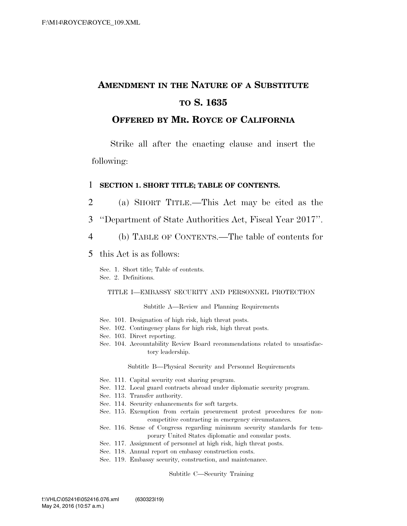# **AMENDMENT IN THE NATURE OF A SUBSTITUTE TO S. 1635**

# **OFFERED BY MR. ROYCE OF CALIFORNIA**

Strike all after the enacting clause and insert the following:

## 1 **SECTION 1. SHORT TITLE; TABLE OF CONTENTS.**

- 2 (a) SHORT TITLE.—This Act may be cited as the
- 3 ''Department of State Authorities Act, Fiscal Year 2017''.
- 4 (b) TABLE OF CONTENTS.—The table of contents for
- 5 this Act is as follows:

Sec. 1. Short title; Table of contents. Sec. 2. Definitions.

### TITLE I—EMBASSY SECURITY AND PERSONNEL PROTECTION

Subtitle A—Review and Planning Requirements

- Sec. 101. Designation of high risk, high threat posts.
- Sec. 102. Contingency plans for high risk, high threat posts.
- Sec. 103. Direct reporting.
- Sec. 104. Accountability Review Board recommendations related to unsatisfactory leadership.

Subtitle B—Physical Security and Personnel Requirements

- Sec. 111. Capital security cost sharing program.
- Sec. 112. Local guard contracts abroad under diplomatic security program.
- Sec. 113. Transfer authority.
- Sec. 114. Security enhancements for soft targets.
- Sec. 115. Exemption from certain procurement protest procedures for noncompetitive contracting in emergency circumstances.
- Sec. 116. Sense of Congress regarding minimum security standards for temporary United States diplomatic and consular posts.
- Sec. 117. Assignment of personnel at high risk, high threat posts.
- Sec. 118. Annual report on embassy construction costs.
- Sec. 119. Embassy security, construction, and maintenance.

### Subtitle C—Security Training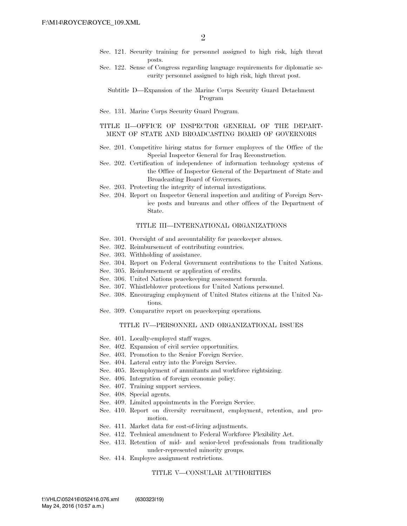- Sec. 121. Security training for personnel assigned to high risk, high threat posts.
- Sec. 122. Sense of Congress regarding language requirements for diplomatic security personnel assigned to high risk, high threat post.

Subtitle D—Expansion of the Marine Corps Security Guard Detachment Program

Sec. 131. Marine Corps Security Guard Program.

## TITLE II—OFFICE OF INSPECTOR GENERAL OF THE DEPART-MENT OF STATE AND BROADCASTING BOARD OF GOVERNORS

- Sec. 201. Competitive hiring status for former employees of the Office of the Special Inspector General for Iraq Reconstruction.
- Sec. 202. Certification of independence of information technology systems of the Office of Inspector General of the Department of State and Broadcasting Board of Governors.
- Sec. 203. Protecting the integrity of internal investigations.
- Sec. 204. Report on Inspector General inspection and auditing of Foreign Service posts and bureaus and other offices of the Department of State.

### TITLE III—INTERNATIONAL ORGANIZATIONS

- Sec. 301. Oversight of and accountability for peacekeeper abuses.
- Sec. 302. Reimbursement of contributing countries.
- Sec. 303. Withholding of assistance.
- Sec. 304. Report on Federal Government contributions to the United Nations.
- Sec. 305. Reimbursement or application of credits.
- Sec. 306. United Nations peacekeeping assessment formula.
- Sec. 307. Whistleblower protections for United Nations personnel.
- Sec. 308. Encouraging employment of United States citizens at the United Nations.
- Sec. 309. Comparative report on peacekeeping operations.

## TITLE IV—PERSONNEL AND ORGANIZATIONAL ISSUES

- Sec. 401. Locally-employed staff wages.
- Sec. 402. Expansion of civil service opportunities.
- Sec. 403. Promotion to the Senior Foreign Service.
- Sec. 404. Lateral entry into the Foreign Service.
- Sec. 405. Reemployment of annuitants and workforce rightsizing.
- Sec. 406. Integration of foreign economic policy.
- Sec. 407. Training support services.
- Sec. 408. Special agents.
- Sec. 409. Limited appointments in the Foreign Service.
- Sec. 410. Report on diversity recruitment, employment, retention, and promotion.
- Sec. 411. Market data for cost-of-living adjustments.
- Sec. 412. Technical amendment to Federal Workforce Flexibility Act.
- Sec. 413. Retention of mid- and senior-level professionals from traditionally under-represented minority groups.
- Sec. 414. Employee assignment restrictions.

### TITLE V—CONSULAR AUTHORITIES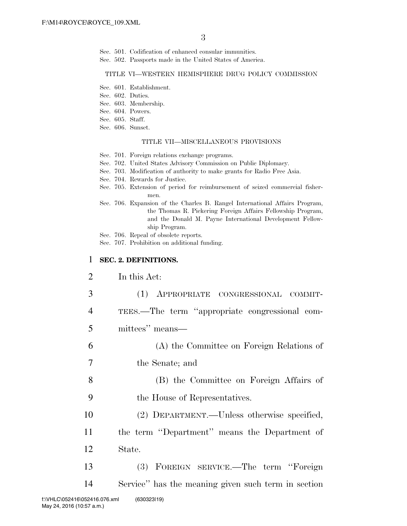- Sec. 501. Codification of enhanced consular immunities.
- Sec. 502. Passports made in the United States of America.

### TITLE VI—WESTERN HEMISPHERE DRUG POLICY COMMISSION

- Sec. 601. Establishment.
- Sec. 602. Duties.
- Sec. 603. Membership.
- Sec. 604. Powers.
- Sec. 605. Staff.
- Sec. 606. Sunset.

### TITLE VII—MISCELLANEOUS PROVISIONS

- Sec. 701. Foreign relations exchange programs.
- Sec. 702. United States Advisory Commission on Public Diplomacy.
- Sec. 703. Modification of authority to make grants for Radio Free Asia.
- Sec. 704. Rewards for Justice.
- Sec. 705. Extension of period for reimbursement of seized commercial fishermen.
- Sec. 706. Expansion of the Charles B. Rangel International Affairs Program, the Thomas R. Pickering Foreign Affairs Fellowship Program, and the Donald M. Payne International Development Fellowship Program.
- Sec. 706. Repeal of obsolete reports.
- Sec. 707. Prohibition on additional funding.

## 1 **SEC. 2. DEFINITIONS.**

- 2 In this Act:
- 3 (1) APPROPRIATE CONGRESSIONAL COMMIT-
- 4 TEES.—The term ''appropriate congressional com-
- 5 mittees'' means—
- 6 (A) the Committee on Foreign Relations of
- 7 the Senate; and
- 8 (B) the Committee on Foreign Affairs of
- 9 the House of Representatives.
- 10 (2) DEPARTMENT.—Unless otherwise specified,
- 11 the term ''Department'' means the Department of
- 12 State.
- 13 (3) FOREIGN SERVICE.—The term ''Foreign 14 Service'' has the meaning given such term in section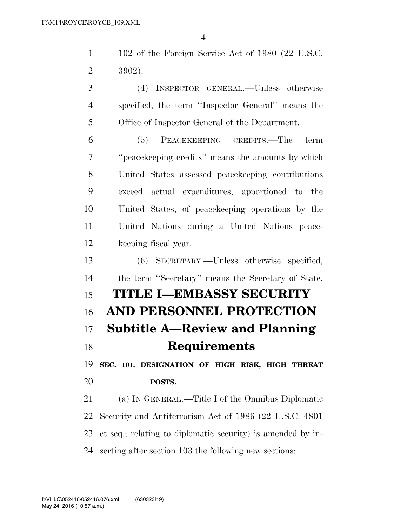102 of the Foreign Service Act of 1980 (22 U.S.C. 3902).

 (4) INSPECTOR GENERAL.—Unless otherwise specified, the term ''Inspector General'' means the Office of Inspector General of the Department.

 (5) PEACEKEEPING CREDITS.—The term ''peacekeeping credits'' means the amounts by which United States assessed peacekeeping contributions exceed actual expenditures, apportioned to the United States, of peacekeeping operations by the United Nations during a United Nations peace-keeping fiscal year.

 (6) SECRETARY.—Unless otherwise specified, the term ''Secretary'' means the Secretary of State.

# **TITLE I—EMBASSY SECURITY AND PERSONNEL PROTECTION Subtitle A—Review and Planning Requirements**

 **SEC. 101. DESIGNATION OF HIGH RISK, HIGH THREAT POSTS.** 

 (a) IN GENERAL.—Title I of the Omnibus Diplomatic Security and Antiterrorism Act of 1986 (22 U.S.C. 4801 et seq.; relating to diplomatic security) is amended by in-serting after section 103 the following new sections: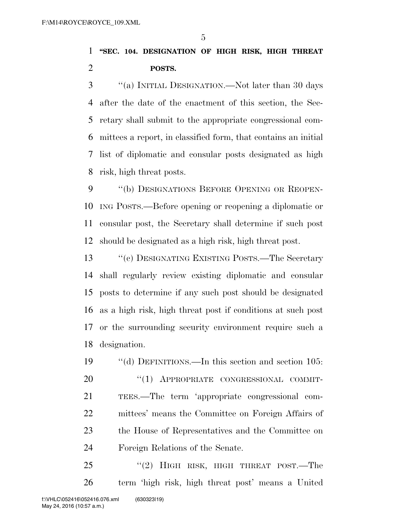# **''SEC. 104. DESIGNATION OF HIGH RISK, HIGH THREAT POSTS.**

 ''(a) INITIAL DESIGNATION.—Not later than 30 days after the date of the enactment of this section, the Sec- retary shall submit to the appropriate congressional com- mittees a report, in classified form, that contains an initial list of diplomatic and consular posts designated as high risk, high threat posts.

9 "(b) DESIGNATIONS BEFORE OPENING OR REOPEN- ING POSTS.—Before opening or reopening a diplomatic or consular post, the Secretary shall determine if such post should be designated as a high risk, high threat post.

13 ''(c) DESIGNATING EXISTING POSTS.—The Secretary shall regularly review existing diplomatic and consular posts to determine if any such post should be designated as a high risk, high threat post if conditions at such post or the surrounding security environment require such a designation.

 ''(d) DEFINITIONS.—In this section and section 105: 20 "(1) APPROPRIATE CONGRESSIONAL COMMIT- TEES.—The term 'appropriate congressional com- mittees' means the Committee on Foreign Affairs of the House of Representatives and the Committee on Foreign Relations of the Senate.

25 "(2) HIGH RISK, HIGH THREAT POST.—The term 'high risk, high threat post' means a United f:\VHLC\052416\052416.076.xml (630323|19)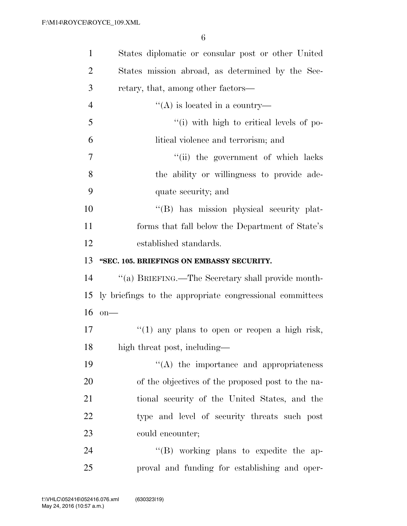| $\mathbf{1}$   | States diplomatic or consular post or other United       |
|----------------|----------------------------------------------------------|
| 2              | States mission abroad, as determined by the Sec-         |
| 3              | retary, that, among other factors—                       |
| $\overline{4}$ | $\lq\lq$ is located in a country—                        |
| 5              | "(i) with high to critical levels of po-                 |
| 6              | litical violence and terrorism; and                      |
| 7              | "(ii) the government of which lacks                      |
| 8              | the ability or willingness to provide ade-               |
| 9              | quate security; and                                      |
| 10             | "(B) has mission physical security plat-                 |
| 11             | forms that fall below the Department of State's          |
| 12             | established standards.                                   |
| 13             | "SEC. 105. BRIEFINGS ON EMBASSY SECURITY.                |
| 14             | "(a) BRIEFING.—The Secretary shall provide month-        |
| 15             | ly briefings to the appropriate congressional committees |
| 16             | $on$ —                                                   |
| 17             | $f'(1)$ any plans to open or reopen a high risk,         |
| 18             | high threat post, including—                             |
| 19             | $\lq\lq$ the importance and appropriateness              |
| 20             | of the objectives of the proposed post to the na-        |
| 21             | tional security of the United States, and the            |
| 22             | type and level of security threats such post             |
| 23             | could encounter;                                         |
| 24             | $\lq\lq$ working plans to expedite the ap-               |
| 25             | proval and funding for establishing and oper-            |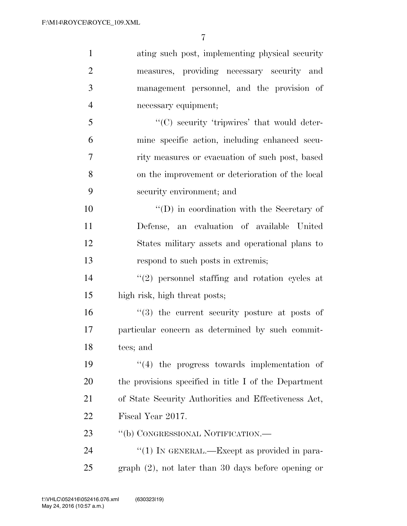| $\mathbf{1}$   | ating such post, implementing physical security        |
|----------------|--------------------------------------------------------|
| $\overline{2}$ | measures, providing necessary security and             |
| 3              | management personnel, and the provision of             |
| $\overline{4}$ | necessary equipment;                                   |
| 5              | "(C) security 'tripwires' that would deter-            |
| 6              | mine specific action, including enhanced secu-         |
| 7              | rity measures or evacuation of such post, based        |
| 8              | on the improvement or deterioration of the local       |
| 9              | security environment; and                              |
| 10             | $\lq\lq$ (D) in coordination with the Secretary of     |
| 11             | Defense, an evaluation of available United             |
| 12             | States military assets and operational plans to        |
| 13             | respond to such posts in extremis;                     |
| 14             | $(2)$ personnel staffing and rotation cycles at        |
| 15             | high risk, high threat posts;                          |
| 16             | $(3)$ the current security posture at posts of         |
| $17\,$         | particular concern as determined by such commit-       |
| 18             | tees; and                                              |
| 19             | $\lq(4)$ the progress towards implementation of        |
| 20             | the provisions specified in title I of the Department  |
| 21             | of State Security Authorities and Effectiveness Act,   |
| 22             | Fiscal Year 2017.                                      |
| 23             | "(b) CONGRESSIONAL NOTIFICATION.—                      |
| 24             | "(1) IN GENERAL.—Except as provided in para-           |
| 25             | graph $(2)$ , not later than 30 days before opening or |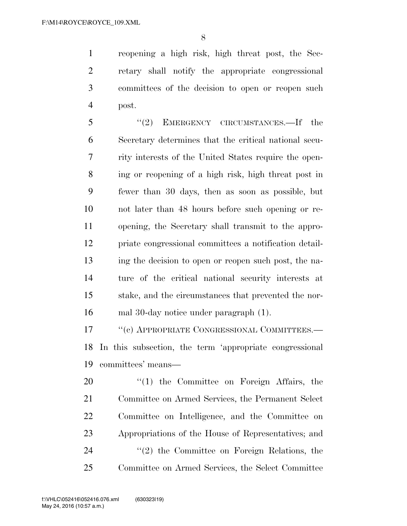reopening a high risk, high threat post, the Sec- retary shall notify the appropriate congressional committees of the decision to open or reopen such post.

 ''(2) EMERGENCY CIRCUMSTANCES.—If the Secretary determines that the critical national secu- rity interests of the United States require the open- ing or reopening of a high risk, high threat post in fewer than 30 days, then as soon as possible, but not later than 48 hours before such opening or re- opening, the Secretary shall transmit to the appro- priate congressional committees a notification detail- ing the decision to open or reopen such post, the na- ture of the critical national security interests at stake, and the circumstances that prevented the nor-mal 30-day notice under paragraph (1).

17 <sup>''</sup>(c) APPROPRIATE CONGRESSIONAL COMMITTEES.— In this subsection, the term 'appropriate congressional committees' means—

 $\frac{1}{20}$  the Committee on Foreign Affairs, the Committee on Armed Services, the Permanent Select Committee on Intelligence, and the Committee on Appropriations of the House of Representatives; and 24 ''(2) the Committee on Foreign Relations, the Committee on Armed Services, the Select Committee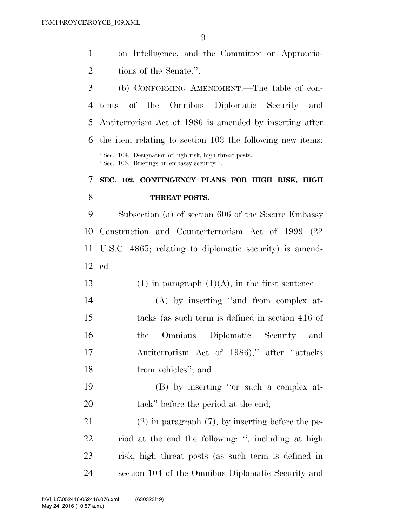on Intelligence, and the Committee on Appropria-2 tions of the Senate.".

 (b) CONFORMING AMENDMENT.—The table of con- tents of the Omnibus Diplomatic Security and Antiterrorism Act of 1986 is amended by inserting after the item relating to section 103 the following new items: ''Sec. 104. Designation of high risk, high threat posts. ''Sec. 105. Briefings on embassy security.''.

# **SEC. 102. CONTINGENCY PLANS FOR HIGH RISK, HIGH THREAT POSTS.**

 Subsection (a) of section 606 of the Secure Embassy Construction and Counterterrorism Act of 1999 (22 U.S.C. 4865; relating to diplomatic security) is amend-ed—

13 (1) in paragraph  $(1)(A)$ , in the first sentence— (A) by inserting ''and from complex at- tacks (as such term is defined in section 416 of the Omnibus Diplomatic Security and Antiterrorism Act of 1986),'' after ''attacks from vehicles''; and

 (B) by inserting ''or such a complex at-20 tack'' before the period at the end;

 (2) in paragraph (7), by inserting before the pe- riod at the end the following: '', including at high risk, high threat posts (as such term is defined in section 104 of the Omnibus Diplomatic Security and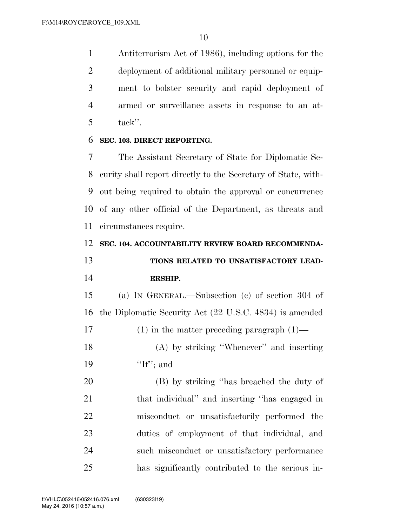Antiterrorism Act of 1986), including options for the deployment of additional military personnel or equip- ment to bolster security and rapid deployment of armed or surveillance assets in response to an at-tack''.

## **SEC. 103. DIRECT REPORTING.**

 The Assistant Secretary of State for Diplomatic Se- curity shall report directly to the Secretary of State, with- out being required to obtain the approval or concurrence of any other official of the Department, as threats and circumstances require.

## **SEC. 104. ACCOUNTABILITY REVIEW BOARD RECOMMENDA-**

 **TIONS RELATED TO UNSATISFACTORY LEAD-ERSHIP.** 

 (a) IN GENERAL.—Subsection (c) of section 304 of the Diplomatic Security Act (22 U.S.C. 4834) is amended (1) in the matter preceding paragraph (1)— (A) by striking ''Whenever'' and inserting 19 'If''; and

 (B) by striking ''has breached the duty of that individual'' and inserting ''has engaged in misconduct or unsatisfactorily performed the duties of employment of that individual, and such misconduct or unsatisfactory performance has significantly contributed to the serious in-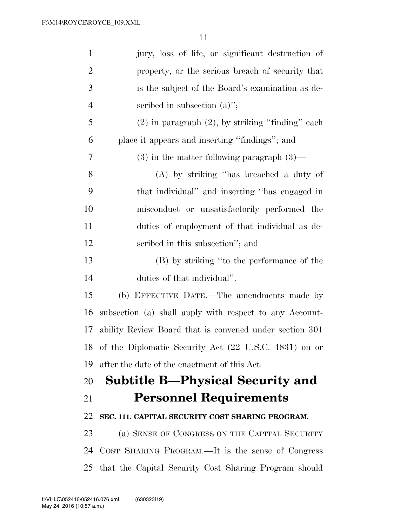| $\mathbf{1}$   | jury, loss of life, or significant destruction of        |
|----------------|----------------------------------------------------------|
| $\overline{2}$ | property, or the serious breach of security that         |
| 3              | is the subject of the Board's examination as de-         |
| 4              | scribed in subsection $(a)$ ";                           |
| 5              | $(2)$ in paragraph $(2)$ , by striking "finding" each    |
| 6              | place it appears and inserting "findings"; and           |
| 7              | $(3)$ in the matter following paragraph $(3)$ —          |
| 8              | (A) by striking "has breached a duty of                  |
| 9              | that individual" and inserting "has engaged in           |
| 10             | misconduct or unsatisfactorily performed the             |
| 11             | duties of employment of that individual as de-           |
| 12             | scribed in this subsection"; and                         |
| 13             | (B) by striking "to the performance of the               |
| 14             | duties of that individual".                              |
| 15             | (b) EFFECTIVE DATE.—The amendments made by               |
| 16             | subsection (a) shall apply with respect to any Account-  |
| 17             | ability Review Board that is convened under section 301  |
|                | 18 of the Diplomatic Security Act (22 U.S.C. 4831) on or |
| 19             | after the date of the enactment of this Act.             |
| 20             | <b>Subtitle B—Physical Security and</b>                  |
| 21             | <b>Personnel Requirements</b>                            |
| 22             | SEC. 111. CAPITAL SECURITY COST SHARING PROGRAM.         |
| 23             | (a) SENSE OF CONGRESS ON THE CAPITAL SECURITY            |
| 24             | COST SHARING PROGRAM.—It is the sense of Congress        |
|                | 25 that the Capital Security Cost Sharing Program should |
|                |                                                          |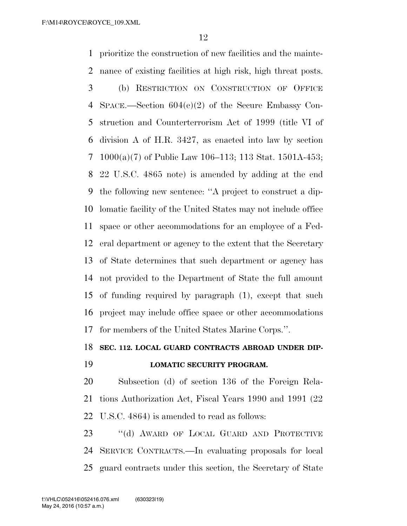prioritize the construction of new facilities and the mainte- nance of existing facilities at high risk, high threat posts. (b) RESTRICTION ON CONSTRUCTION OF OFFICE SPACE.—Section 604(e)(2) of the Secure Embassy Con- struction and Counterterrorism Act of 1999 (title VI of division A of H.R. 3427, as enacted into law by section 1000(a)(7) of Public Law 106–113; 113 Stat. 1501A-453; 22 U.S.C. 4865 note) is amended by adding at the end the following new sentence: ''A project to construct a dip- lomatic facility of the United States may not include office space or other accommodations for an employee of a Fed- eral department or agency to the extent that the Secretary of State determines that such department or agency has not provided to the Department of State the full amount of funding required by paragraph (1), except that such project may include office space or other accommodations for members of the United States Marine Corps.''.

**SEC. 112. LOCAL GUARD CONTRACTS ABROAD UNDER DIP-**

## **LOMATIC SECURITY PROGRAM.**

 Subsection (d) of section 136 of the Foreign Rela- tions Authorization Act, Fiscal Years 1990 and 1991 (22 U.S.C. 4864) is amended to read as follows:

23 "(d) AWARD OF LOCAL GUARD AND PROTECTIVE SERVICE CONTRACTS.—In evaluating proposals for local guard contracts under this section, the Secretary of State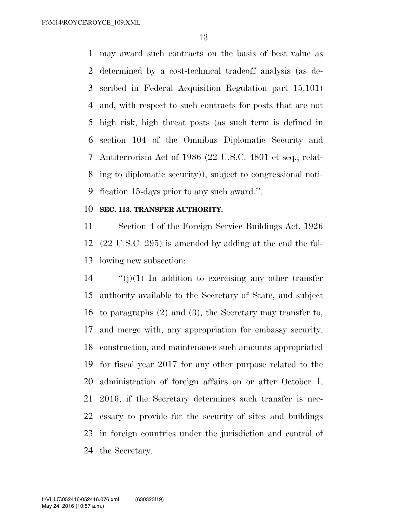may award such contracts on the basis of best value as determined by a cost-technical tradeoff analysis (as de- scribed in Federal Acquisition Regulation part 15.101) and, with respect to such contracts for posts that are not high risk, high threat posts (as such term is defined in section 104 of the Omnibus Diplomatic Security and Antiterrorism Act of 1986 (22 U.S.C. 4801 et seq.; relat- ing to diplomatic security)), subject to congressional noti-fication 15-days prior to any such award.''.

## **SEC. 113. TRANSFER AUTHORITY.**

 Section 4 of the Foreign Service Buildings Act, 1926 (22 U.S.C. 295) is amended by adding at the end the fol-lowing new subsection:

 ''(j)(1) In addition to exercising any other transfer authority available to the Secretary of State, and subject to paragraphs (2) and (3), the Secretary may transfer to, and merge with, any appropriation for embassy security, construction, and maintenance such amounts appropriated for fiscal year 2017 for any other purpose related to the administration of foreign affairs on or after October 1, 2016, if the Secretary determines such transfer is nec- essary to provide for the security of sites and buildings in foreign countries under the jurisdiction and control of the Secretary.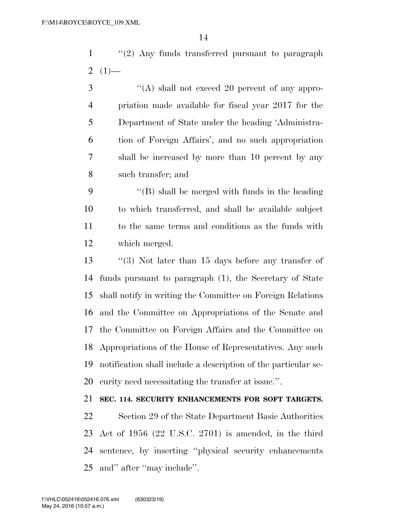''(2) Any funds transferred pursuant to paragraph 2  $(1)$ —

3 "(A) shall not exceed 20 percent of any appro- priation made available for fiscal year 2017 for the Department of State under the heading 'Administra- tion of Foreign Affairs', and no such appropriation shall be increased by more than 10 percent by any such transfer; and

 ''(B) shall be merged with funds in the heading to which transferred, and shall be available subject to the same terms and conditions as the funds with which merged.

 ''(3) Not later than 15 days before any transfer of funds pursuant to paragraph (1), the Secretary of State shall notify in writing the Committee on Foreign Relations and the Committee on Appropriations of the Senate and the Committee on Foreign Affairs and the Committee on Appropriations of the House of Representatives. Any such notification shall include a description of the particular se-curity need necessitating the transfer at issue.''.

## **SEC. 114. SECURITY ENHANCEMENTS FOR SOFT TARGETS.**

 Section 29 of the State Department Basic Authorities Act of 1956 (22 U.S.C. 2701) is amended, in the third sentence, by inserting ''physical security enhancements and'' after ''may include''.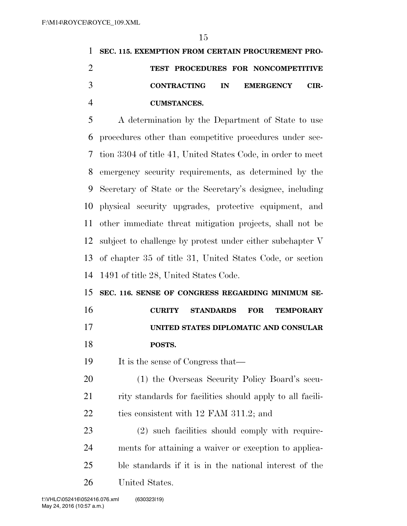|   | 1 SEC. 115. EXEMPTION FROM CERTAIN PROCUREMENT PRO- |
|---|-----------------------------------------------------|
|   | TEST PROCEDURES FOR NONCOMPETITIVE                  |
| 3 | CONTRACTING IN EMERGENCY CIR-                       |
|   | <b>CUMSTANCES.</b>                                  |

 A determination by the Department of State to use procedures other than competitive procedures under sec- tion 3304 of title 41, United States Code, in order to meet emergency security requirements, as determined by the Secretary of State or the Secretary's designee, including physical security upgrades, protective equipment, and other immediate threat mitigation projects, shall not be subject to challenge by protest under either subchapter V of chapter 35 of title 31, United States Code, or section 1491 of title 28, United States Code.

 **SEC. 116. SENSE OF CONGRESS REGARDING MINIMUM SE-CURITY STANDARDS FOR TEMPORARY** 

 **UNITED STATES DIPLOMATIC AND CONSULAR POSTS.** 

It is the sense of Congress that—

 (1) the Overseas Security Policy Board's secu-21 rity standards for facilities should apply to all facili-22 ties consistent with 12 FAM 311.2; and

 (2) such facilities should comply with require- ments for attaining a waiver or exception to applica- ble standards if it is in the national interest of the United States.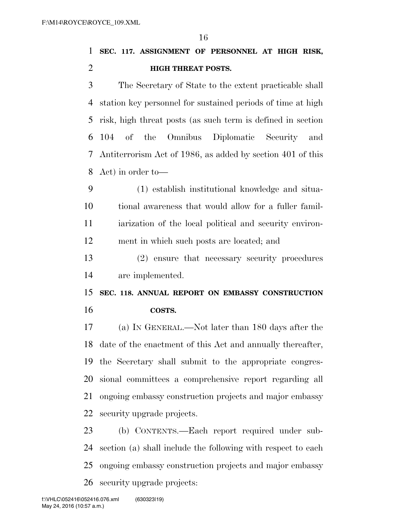**SEC. 117. ASSIGNMENT OF PERSONNEL AT HIGH RISK, HIGH THREAT POSTS.** 

 The Secretary of State to the extent practicable shall station key personnel for sustained periods of time at high risk, high threat posts (as such term is defined in section 104 of the Omnibus Diplomatic Security and Antiterrorism Act of 1986, as added by section 401 of this Act) in order to—

 (1) establish institutional knowledge and situa- tional awareness that would allow for a fuller famil- iarization of the local political and security environ-ment in which such posts are located; and

 (2) ensure that necessary security procedures are implemented.

 **SEC. 118. ANNUAL REPORT ON EMBASSY CONSTRUCTION COSTS.** 

 (a) IN GENERAL.—Not later than 180 days after the date of the enactment of this Act and annually thereafter, the Secretary shall submit to the appropriate congres- sional committees a comprehensive report regarding all ongoing embassy construction projects and major embassy security upgrade projects.

 (b) CONTENTS.—Each report required under sub- section (a) shall include the following with respect to each ongoing embassy construction projects and major embassy security upgrade projects: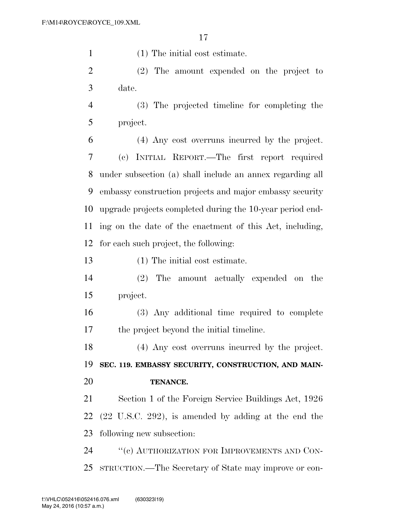(1) The initial cost estimate.

 (2) The amount expended on the project to date.

 (3) The projected timeline for completing the project.

 (4) Any cost overruns incurred by the project. (c) INITIAL REPORT.—The first report required under subsection (a) shall include an annex regarding all embassy construction projects and major embassy security upgrade projects completed during the 10-year period end- ing on the date of the enactment of this Act, including, for each such project, the following:

(1) The initial cost estimate.

 (2) The amount actually expended on the project.

 (3) Any additional time required to complete the project beyond the initial timeline.

 (4) Any cost overruns incurred by the project. **SEC. 119. EMBASSY SECURITY, CONSTRUCTION, AND MAIN-**

**TENANCE.** 

 Section 1 of the Foreign Service Buildings Act, 1926 (22 U.S.C. 292), is amended by adding at the end the following new subsection:

24 "(c) AUTHORIZATION FOR IMPROVEMENTS AND CON-STRUCTION.—The Secretary of State may improve or con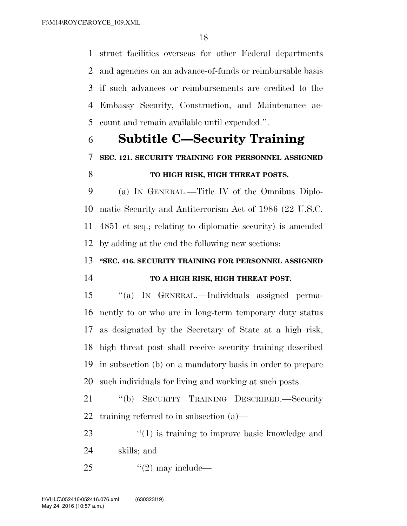struct facilities overseas for other Federal departments and agencies on an advance-of-funds or reimbursable basis if such advances or reimbursements are credited to the Embassy Security, Construction, and Maintenance ac-count and remain available until expended.''.

# **Subtitle C—Security Training SEC. 121. SECURITY TRAINING FOR PERSONNEL ASSIGNED TO HIGH RISK, HIGH THREAT POSTS.**

 (a) IN GENERAL.—Title IV of the Omnibus Diplo- matic Security and Antiterrorism Act of 1986 (22 U.S.C. 4851 et seq.; relating to diplomatic security) is amended by adding at the end the following new sections:

**''SEC. 416. SECURITY TRAINING FOR PERSONNEL ASSIGNED** 

# **TO A HIGH RISK, HIGH THREAT POST.**

 ''(a) IN GENERAL.—Individuals assigned perma- nently to or who are in long-term temporary duty status as designated by the Secretary of State at a high risk, high threat post shall receive security training described in subsection (b) on a mandatory basis in order to prepare such individuals for living and working at such posts.

 ''(b) SECURITY TRAINING DESCRIBED.—Security training referred to in subsection (a)—

23 ''(1) is training to improve basic knowledge and skills; and

25  $\frac{1}{2}$   $\frac{1}{2}$  may include—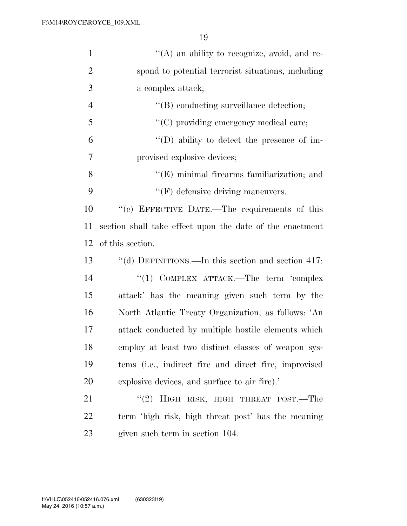| $\mathbf{1}$   | $\lq\lq$ an ability to recognize, avoid, and re-         |
|----------------|----------------------------------------------------------|
| $\overline{2}$ | spond to potential terrorist situations, including       |
| 3              | a complex attack;                                        |
| $\overline{4}$ | "(B) conducting surveillance detection;                  |
| 5              | "(C) providing emergency medical care;                   |
| 6              | $\lq\lq$ (D) ability to detect the presence of im-       |
| 7              | provised explosive devices;                              |
| 8              | "(E) minimal firearms familiarization; and               |
| 9              | $\lq\lq(F)$ defensive driving maneuvers.                 |
| 10             | "(c) EFFECTIVE DATE.—The requirements of this            |
| 11             | section shall take effect upon the date of the enactment |
| 12             | of this section.                                         |
| 13             | "(d) DEFINITIONS.—In this section and section $417$ :    |
| 14             | "(1) COMPLEX ATTACK.—The term 'complex                   |
| 15             | attack' has the meaning given such term by the           |
| 16             | North Atlantic Treaty Organization, as follows: 'An      |
| 17             | attack conducted by multiple hostile elements which      |
| 18             | employ at least two distinct classes of weapon sys-      |
| 19             | tems (i.e., indirect fire and direct fire, improvised    |
| 20             | explosive devices, and surface to air fire)              |
| 21             | "(2) HIGH RISK, HIGH THREAT POST.—The                    |
| 22             | term 'high risk, high threat post' has the meaning       |
| 23             | given such term in section 104.                          |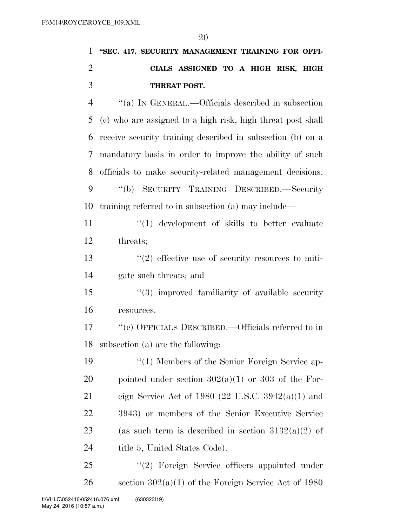| $\mathbf{1}$   | "SEC. 417. SECURITY MANAGEMENT TRAINING FOR OFFI-           |
|----------------|-------------------------------------------------------------|
| $\overline{2}$ | CIALS ASSIGNED TO A HIGH RISK, HIGH                         |
| 3              | THREAT POST.                                                |
| $\overline{4}$ | "(a) IN GENERAL.—Officials described in subsection          |
| 5              | (c) who are assigned to a high risk, high threat post shall |
| 6              | receive security training described in subsection (b) on a  |
| 7              | mandatory basis in order to improve the ability of such     |
| 8              | officials to make security-related management decisions.    |
| 9              | "(b) SECURITY TRAINING DESCRIBED.—Security                  |
| 10             | training referred to in subsection (a) may include—         |
| 11             | $\lq(1)$ development of skills to better evaluate           |
| 12             | threats;                                                    |
| 13             | $\lq(2)$ effective use of security resources to miti-       |
| 14             | gate such threats; and                                      |
| 15             | $\lq(3)$ improved familiarity of available security         |
| 16             | resources.                                                  |
| 17             | "(c) OFFICIALS DESCRIBED.—Officials referred to in          |
|                | 18 subsection (a) are the following:                        |
| 19             | "(1) Members of the Senior Foreign Service ap-              |
| 20             | pointed under section $302(a)(1)$ or 303 of the For-        |
| 21             | eign Service Act of 1980 (22 U.S.C. 3942(a)(1) and          |
| <u>22</u>      | 3943) or members of the Senior Executive Service            |
| 23             | (as such term is described in section $3132(a)(2)$ of       |
| 24             | title 5, United States Code).                               |
|                |                                                             |

25 "(2) Foreign Service officers appointed under 26 section  $302(a)(1)$  of the Foreign Service Act of 1980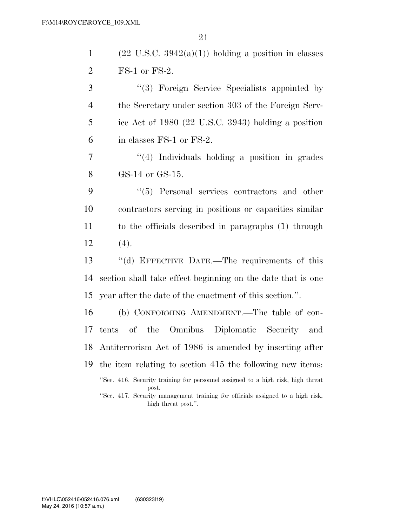1 (22 U.S.C.  $3942(a)(1)$ ) holding a position in classes FS-1 or FS-2.

 ''(3) Foreign Service Specialists appointed by the Secretary under section 303 of the Foreign Serv- ice Act of 1980 (22 U.S.C. 3943) holding a position in classes FS-1 or FS-2. ''(4) Individuals holding a position in grades GS-14 or GS-15. ''(5) Personal services contractors and other contractors serving in positions or capacities similar to the officials described in paragraphs (1) through  $12 \t(4).$  ''(d) EFFECTIVE DATE.—The requirements of this section shall take effect beginning on the date that is one year after the date of the enactment of this section.''.

 (b) CONFORMING AMENDMENT.—The table of con- tents of the Omnibus Diplomatic Security and Antiterrorism Act of 1986 is amended by inserting after the item relating to section 415 the following new items: ''Sec. 416. Security training for personnel assigned to a high risk, high threat post. ''Sec. 417. Security management training for officials assigned to a high risk, high threat post.''.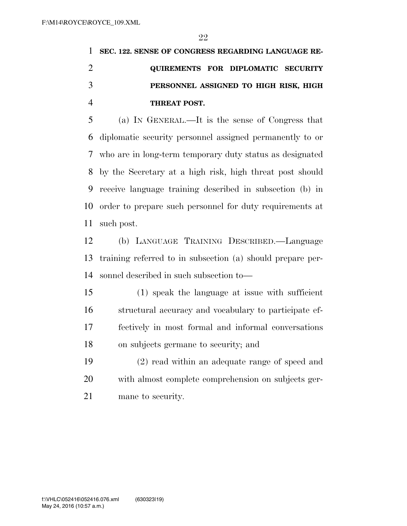**SEC. 122. SENSE OF CONGRESS REGARDING LANGUAGE RE- QUIREMENTS FOR DIPLOMATIC SECURITY PERSONNEL ASSIGNED TO HIGH RISK, HIGH THREAT POST.** 

 (a) IN GENERAL.—It is the sense of Congress that diplomatic security personnel assigned permanently to or who are in long-term temporary duty status as designated by the Secretary at a high risk, high threat post should receive language training described in subsection (b) in order to prepare such personnel for duty requirements at such post.

 (b) LANGUAGE TRAINING DESCRIBED.—Language training referred to in subsection (a) should prepare per-sonnel described in such subsection to—

 (1) speak the language at issue with sufficient structural accuracy and vocabulary to participate ef- fectively in most formal and informal conversations on subjects germane to security; and

 (2) read within an adequate range of speed and with almost complete comprehension on subjects ger-mane to security.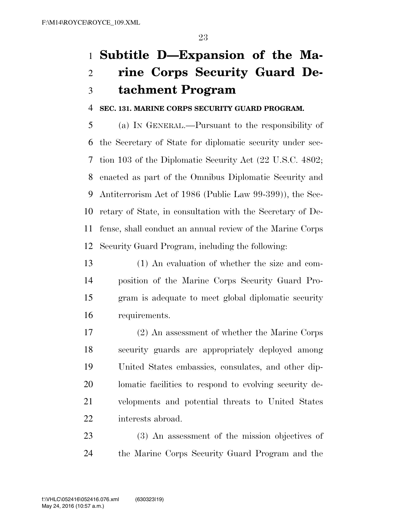# **Subtitle D—Expansion of the Ma-**

# **rine Corps Security Guard De-tachment Program**

**SEC. 131. MARINE CORPS SECURITY GUARD PROGRAM.** 

 (a) IN GENERAL.—Pursuant to the responsibility of the Secretary of State for diplomatic security under sec- tion 103 of the Diplomatic Security Act (22 U.S.C. 4802; enacted as part of the Omnibus Diplomatic Security and Antiterrorism Act of 1986 (Public Law 99-399)), the Sec- retary of State, in consultation with the Secretary of De- fense, shall conduct an annual review of the Marine Corps Security Guard Program, including the following:

 (1) An evaluation of whether the size and com- position of the Marine Corps Security Guard Pro- gram is adequate to meet global diplomatic security requirements.

 (2) An assessment of whether the Marine Corps security guards are appropriately deployed among United States embassies, consulates, and other dip- lomatic facilities to respond to evolving security de- velopments and potential threats to United States interests abroad.

 (3) An assessment of the mission objectives of the Marine Corps Security Guard Program and the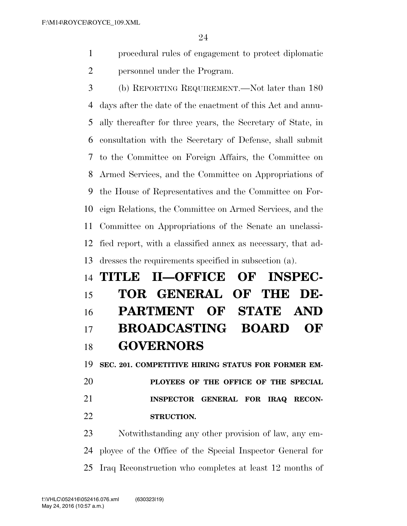procedural rules of engagement to protect diplomatic personnel under the Program.

 (b) REPORTING REQUIREMENT.—Not later than 180 days after the date of the enactment of this Act and annu- ally thereafter for three years, the Secretary of State, in consultation with the Secretary of Defense, shall submit to the Committee on Foreign Affairs, the Committee on Armed Services, and the Committee on Appropriations of the House of Representatives and the Committee on For- eign Relations, the Committee on Armed Services, and the Committee on Appropriations of the Senate an unclassi- fied report, with a classified annex as necessary, that ad-dresses the requirements specified in subsection (a).

# **TITLE II—OFFICE OF INSPEC- TOR GENERAL OF THE DE- PARTMENT OF STATE AND BROADCASTING BOARD OF GOVERNORS**

 **SEC. 201. COMPETITIVE HIRING STATUS FOR FORMER EM- PLOYEES OF THE OFFICE OF THE SPECIAL INSPECTOR GENERAL FOR IRAQ RECON-STRUCTION.** 

 Notwithstanding any other provision of law, any em- ployee of the Office of the Special Inspector General for Iraq Reconstruction who completes at least 12 months of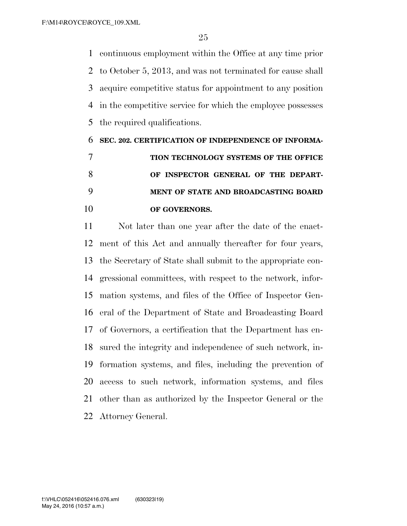continuous employment within the Office at any time prior to October 5, 2013, and was not terminated for cause shall acquire competitive status for appointment to any position in the competitive service for which the employee possesses the required qualifications.

# **SEC. 202. CERTIFICATION OF INDEPENDENCE OF INFORMA- TION TECHNOLOGY SYSTEMS OF THE OFFICE OF INSPECTOR GENERAL OF THE DEPART- MENT OF STATE AND BROADCASTING BOARD OF GOVERNORS.**

 Not later than one year after the date of the enact- ment of this Act and annually thereafter for four years, the Secretary of State shall submit to the appropriate con- gressional committees, with respect to the network, infor- mation systems, and files of the Office of Inspector Gen- eral of the Department of State and Broadcasting Board of Governors, a certification that the Department has en- sured the integrity and independence of such network, in- formation systems, and files, including the prevention of access to such network, information systems, and files other than as authorized by the Inspector General or the Attorney General.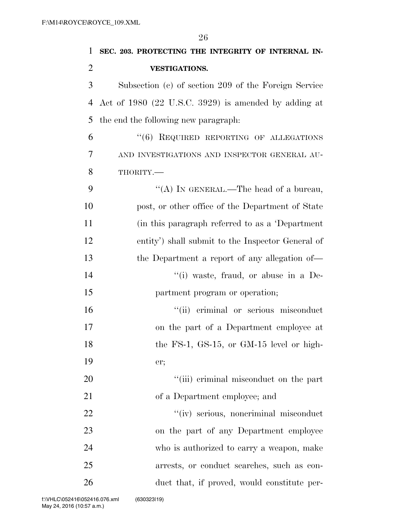**SEC. 203. PROTECTING THE INTEGRITY OF INTERNAL IN- VESTIGATIONS.**  Subsection (c) of section 209 of the Foreign Service Act of 1980 (22 U.S.C. 3929) is amended by adding at the end the following new paragraph: ''(6) REQUIRED REPORTING OF ALLEGATIONS AND INVESTIGATIONS AND INSPECTOR GENERAL AU- THORITY.— 9 "(A) IN GENERAL.—The head of a bureau, post, or other office of the Department of State (in this paragraph referred to as a 'Department entity') shall submit to the Inspector General of the Department a report of any allegation of—  $\lq$  (i) waste, fraud, or abuse in a De- partment program or operation;  $"$ (ii) criminal or serious misconduct on the part of a Department employee at 18 the FS-1, GS-15, or GM-15 level or high- er;  $\frac{1}{1}$  (iii) criminal misconduct on the part of a Department employee; and ''(iv) serious, noncriminal misconduct on the part of any Department employee who is authorized to carry a weapon, make arrests, or conduct searches, such as con-

duct that, if proved, would constitute per-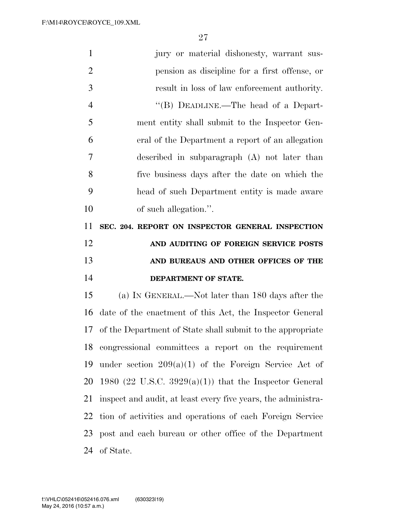| $\mathbf{1}$   | jury or material dishonesty, warrant sus-                     |
|----------------|---------------------------------------------------------------|
| $\overline{2}$ | pension as discipline for a first offense, or                 |
| 3              | result in loss of law enforcement authority.                  |
| $\overline{4}$ | "(B) DEADLINE.—The head of a Depart-                          |
| 5              | ment entity shall submit to the Inspector Gen-                |
| 6              | eral of the Department a report of an allegation              |
| 7              | described in subparagraph (A) not later than                  |
| 8              | five business days after the date on which the                |
| 9              | head of such Department entity is made aware                  |
| 10             | of such allegation.".                                         |
| 11             | SEC. 204. REPORT ON INSPECTOR GENERAL INSPECTION              |
|                |                                                               |
| 12             | AND AUDITING OF FOREIGN SERVICE POSTS                         |
| 13             | AND BUREAUS AND OTHER OFFICES OF THE                          |
|                | DEPARTMENT OF STATE.                                          |
| 14<br>15       | (a) IN GENERAL.—Not later than 180 days after the             |
| 16             | date of the enactment of this Act, the Inspector General      |
| 17             | of the Department of State shall submit to the appropriate    |
| 18             | congressional committees a report on the requirement          |
| 19             | under section $209(a)(1)$ of the Foreign Service Act of       |
| 20             | 1980 (22 U.S.C. 3929(a)(1)) that the Inspector General        |
| 21             | inspect and audit, at least every five years, the administra- |
| 22             | tion of activities and operations of each Foreign Service     |
| 23             | post and each bureau or other office of the Department        |

of State.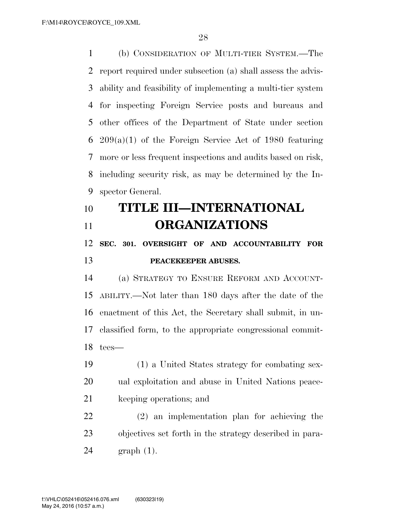(b) CONSIDERATION OF MULTI-TIER SYSTEM.—The report required under subsection (a) shall assess the advis- ability and feasibility of implementing a multi-tier system for inspecting Foreign Service posts and bureaus and other offices of the Department of State under section 209(a)(1) of the Foreign Service Act of 1980 featuring more or less frequent inspections and audits based on risk, including security risk, as may be determined by the In-spector General.

# **TITLE III—INTERNATIONAL ORGANIZATIONS**

# **SEC. 301. OVERSIGHT OF AND ACCOUNTABILITY FOR PEACEKEEPER ABUSES.**

 (a) STRATEGY TO ENSURE REFORM AND ACCOUNT- ABILITY.—Not later than 180 days after the date of the enactment of this Act, the Secretary shall submit, in un- classified form, to the appropriate congressional commit-tees—

 (1) a United States strategy for combating sex- ual exploitation and abuse in United Nations peace-keeping operations; and

 (2) an implementation plan for achieving the objectives set forth in the strategy described in para-graph (1).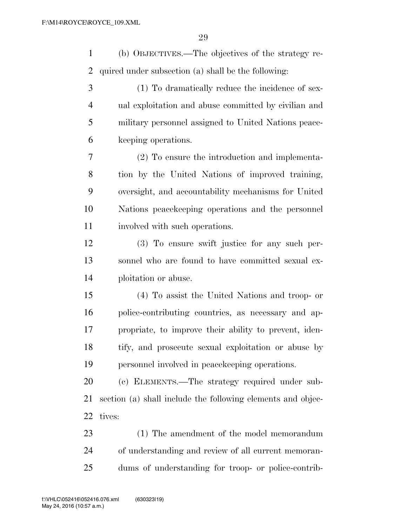(b) OBJECTIVES.—The objectives of the strategy re- quired under subsection (a) shall be the following: (1) To dramatically reduce the incidence of sex- ual exploitation and abuse committed by civilian and military personnel assigned to United Nations peace-keeping operations.

 (2) To ensure the introduction and implementa- tion by the United Nations of improved training, oversight, and accountability mechanisms for United Nations peacekeeping operations and the personnel involved with such operations.

 (3) To ensure swift justice for any such per- sonnel who are found to have committed sexual ex-ploitation or abuse.

 (4) To assist the United Nations and troop- or police-contributing countries, as necessary and ap- propriate, to improve their ability to prevent, iden- tify, and prosecute sexual exploitation or abuse by personnel involved in peacekeeping operations.

 (c) ELEMENTS.—The strategy required under sub- section (a) shall include the following elements and objec-tives:

 (1) The amendment of the model memorandum of understanding and review of all current memoran-dums of understanding for troop- or police-contrib-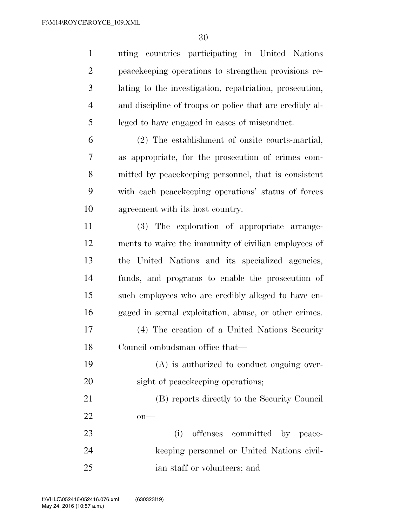uting countries participating in United Nations peacekeeping operations to strengthen provisions re- lating to the investigation, repatriation, prosecution, and discipline of troops or police that are credibly al- leged to have engaged in cases of misconduct. (2) The establishment of onsite courts-martial,

 as appropriate, for the prosecution of crimes com- mitted by peacekeeping personnel, that is consistent with each peacekeeping operations' status of forces agreement with its host country.

 (3) The exploration of appropriate arrange- ments to waive the immunity of civilian employees of the United Nations and its specialized agencies, funds, and programs to enable the prosecution of such employees who are credibly alleged to have en- gaged in sexual exploitation, abuse, or other crimes. (4) The creation of a United Nations Security

Council ombudsman office that—

 (A) is authorized to conduct ongoing over-20 sight of peacekeeping operations;

 (B) reports directly to the Security Council on—

23 (i) offenses committed by peace- keeping personnel or United Nations civil-ian staff or volunteers; and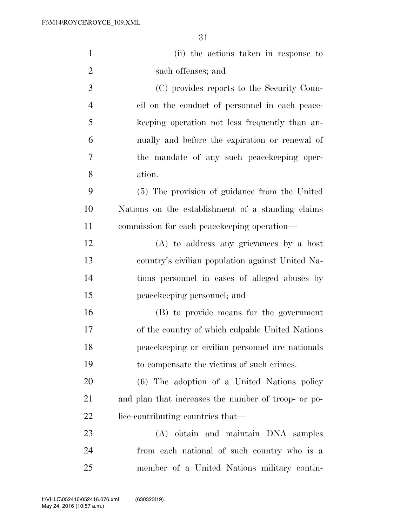| $\mathbf{1}$   | (ii) the actions taken in response to               |
|----------------|-----------------------------------------------------|
| $\overline{2}$ | such offenses; and                                  |
| 3              | (C) provides reports to the Security Coun-          |
| 4              | cil on the conduct of personnel in each peace-      |
| 5              | keeping operation not less frequently than an-      |
| 6              | nually and before the expiration or renewal of      |
| 7              | the mandate of any such peacekeeping oper-          |
| 8              | ation.                                              |
| 9              | (5) The provision of guidance from the United       |
| 10             | Nations on the establishment of a standing claims   |
| 11             | commission for each peacekeeping operation-         |
| 12             | (A) to address any grievances by a host             |
| 13             | country's civilian population against United Na-    |
| 14             | tions personnel in cases of alleged abuses by       |
| 15             | peace keeping personnel; and                        |
| 16             | (B) to provide means for the government             |
| 17             | of the country of which culpable United Nations     |
| 18             | peacekeeping or civilian personnel are nationals    |
| 19             | to compensate the victims of such crimes.           |
| 20             | (6) The adoption of a United Nations policy         |
| 21             | and plan that increases the number of troop- or po- |
| 22             | lice-contributing countries that—                   |
| 23             | (A) obtain and maintain DNA samples                 |
| 24             | from each national of such country who is a         |
| 25             | member of a United Nations military contin-         |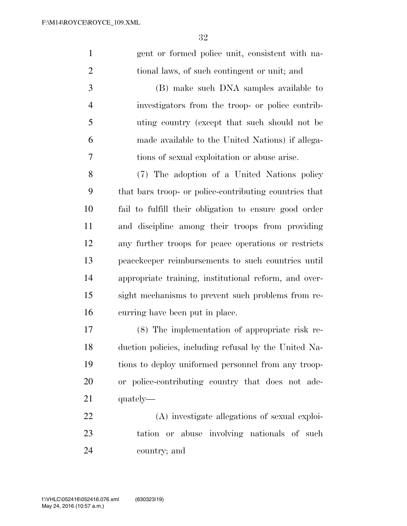gent or formed police unit, consistent with na-tional laws, of such contingent or unit; and

 (B) make such DNA samples available to investigators from the troop- or police contrib- uting country (except that such should not be made available to the United Nations) if allega-tions of sexual exploitation or abuse arise.

 (7) The adoption of a United Nations policy that bars troop- or police-contributing countries that fail to fulfill their obligation to ensure good order and discipline among their troops from providing any further troops for peace operations or restricts peacekeeper reimbursements to such countries until appropriate training, institutional reform, and over- sight mechanisms to prevent such problems from re-curring have been put in place.

 (8) The implementation of appropriate risk re- duction policies, including refusal by the United Na- tions to deploy uniformed personnel from any troop- or police-contributing country that does not ade-quately—

 (A) investigate allegations of sexual exploi- tation or abuse involving nationals of such country; and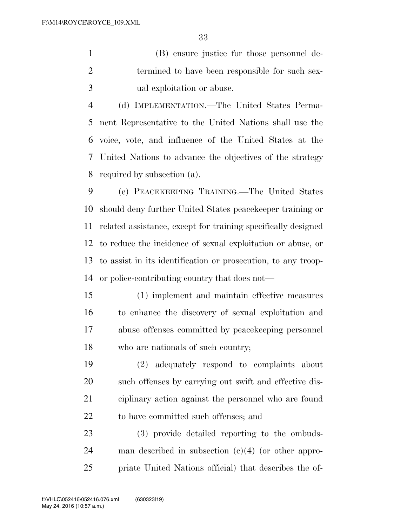(B) ensure justice for those personnel de- termined to have been responsible for such sex-ual exploitation or abuse.

 (d) IMPLEMENTATION.—The United States Perma- nent Representative to the United Nations shall use the voice, vote, and influence of the United States at the United Nations to advance the objectives of the strategy required by subsection (a).

 (e) PEACEKEEPING TRAINING.—The United States should deny further United States peacekeeper training or related assistance, except for training specifically designed to reduce the incidence of sexual exploitation or abuse, or to assist in its identification or prosecution, to any troop-or police-contributing country that does not—

 (1) implement and maintain effective measures to enhance the discovery of sexual exploitation and abuse offenses committed by peacekeeping personnel who are nationals of such country;

 (2) adequately respond to complaints about such offenses by carrying out swift and effective dis- ciplinary action against the personnel who are found to have committed such offenses; and

 (3) provide detailed reporting to the ombuds- man described in subsection (c)(4) (or other appro-priate United Nations official) that describes the of-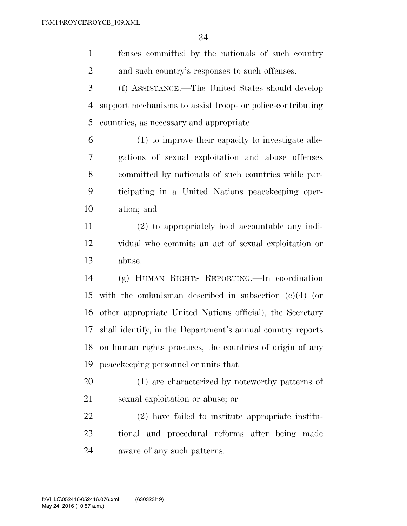fenses committed by the nationals of such country and such country's responses to such offenses.

 (f) ASSISTANCE.—The United States should develop support mechanisms to assist troop- or police-contributing countries, as necessary and appropriate—

 (1) to improve their capacity to investigate alle- gations of sexual exploitation and abuse offenses committed by nationals of such countries while par- ticipating in a United Nations peacekeeping oper-ation; and

 (2) to appropriately hold accountable any indi- vidual who commits an act of sexual exploitation or abuse.

 (g) HUMAN RIGHTS REPORTING.—In coordination with the ombudsman described in subsection (c)(4) (or other appropriate United Nations official), the Secretary shall identify, in the Department's annual country reports on human rights practices, the countries of origin of any peacekeeping personnel or units that—

 (1) are characterized by noteworthy patterns of sexual exploitation or abuse; or

 (2) have failed to institute appropriate institu- tional and procedural reforms after being made aware of any such patterns.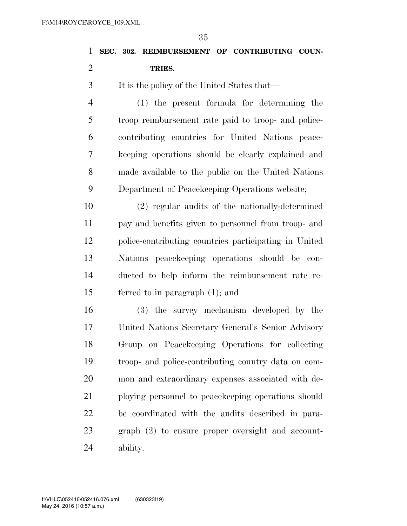| 1              | 59<br>SEC. 302. REIMBURSEMENT OF CONTRIBUTING COUN-   |
|----------------|-------------------------------------------------------|
| $\overline{2}$ | TRIES.                                                |
| 3              | It is the policy of the United States that—           |
| $\overline{4}$ | $(1)$ the present formula for determining the         |
| 5              | troop reimbursement rate paid to troop- and police-   |
| 6              | contributing countries for United Nations peace-      |
| 7              | keeping operations should be clearly explained and    |
| 8              | made available to the public on the United Nations    |
| 9              | Department of Peacekeeping Operations website;        |
| 10             | (2) regular audits of the nationally-determined       |
| 11             | pay and benefits given to personnel from troop- and   |
| 12             | police-contributing countries participating in United |
| 13             | Nations peace keeping operations should be con-       |
| 14             | ducted to help inform the reimbursement rate re-      |
| 15             | ferred to in paragraph $(1)$ ; and                    |
| 16             | (3) the survey mechanism developed by the             |
| 17             | United Nations Secretary General's Senior Advisory    |
| 18             | Group on Peacekeeping Operations for collecting       |
| 19             | troop- and police-contributing country data on com-   |
| 20             | mon and extraordinary expenses associated with de-    |
| 21             | ploying personnel to peace keeping operations should  |
| 22             | be coordinated with the audits described in para-     |
| 23             | graph (2) to ensure proper oversight and account-     |
| 24             | ability.                                              |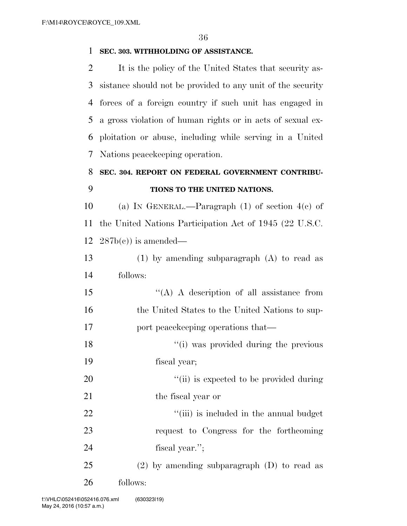## **SEC. 303. WITHHOLDING OF ASSISTANCE.**

 It is the policy of the United States that security as- sistance should not be provided to any unit of the security forces of a foreign country if such unit has engaged in a gross violation of human rights or in acts of sexual ex- ploitation or abuse, including while serving in a United Nations peacekeeping operation.

# **SEC. 304. REPORT ON FEDERAL GOVERNMENT CONTRIBU-**

# **TIONS TO THE UNITED NATIONS.**

10 (a) IN GENERAL.—Paragraph (1) of section  $4(c)$  of the United Nations Participation Act of 1945 (22 U.S.C.  $12 \quad 287b(c)$  is amended—

 (1) by amending subparagraph (A) to read as follows:

 ''(A) A description of all assistance from 16 the United States to the United Nations to sup-17 port peace keeping operations that—

18 ''(i) was provided during the previous

fiscal year;

20  $\frac{1}{1}$  is expected to be provided during 21 the fiscal year or

22  $\frac{1}{2}$   $\frac{1}{2}$   $\frac{1}{2}$   $\frac{1}{2}$  is included in the annual budget request to Congress for the forthcoming fiscal year.'';

 (2) by amending subparagraph (D) to read as follows: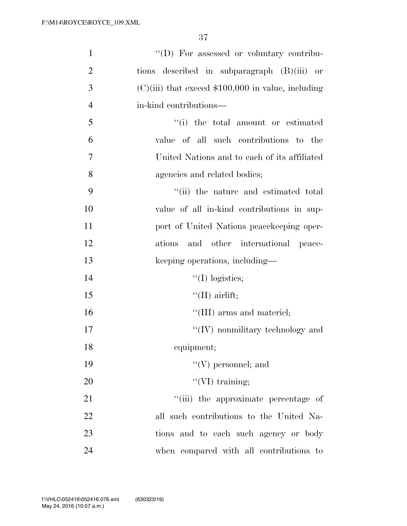| $\mathbf{1}$   | "(D) For assessed or voluntary contribu-             |
|----------------|------------------------------------------------------|
| $\overline{2}$ | tions described in subparagraph $(B)(iii)$ or        |
| 3              | $(C)(iii)$ that exceed \$100,000 in value, including |
| $\overline{4}$ | in-kind contributions—                               |
| 5              | "(i) the total amount or estimated                   |
| 6              | value of all such contributions to the               |
| $\overline{7}$ | United Nations and to each of its affiliated         |
| 8              | agencies and related bodies;                         |
| 9              | "(ii) the nature and estimated total                 |
| 10             | value of all in-kind contributions in sup-           |
| 11             | port of United Nations peacekeeping oper-            |
| 12             | ations and other international peace-                |
| 13             | keeping operations, including—                       |
| 14             | $\lq\lq$ (I) logistics;                              |
| 15             | $\lq\lq$ (II) airlift;                               |
| 16             | "(III) arms and materiel;                            |
| 17             | $\lq\lq$ (IV) nonmilitary technology and             |
| 18             | equipment;                                           |
| 19             | $\lq\lq(V)$ personnel; and                           |
| 20             | $\lq\lq$ (VI) training;                              |
| 21             | "(iii) the approximate percentage of                 |
| 22             | all such contributions to the United Na-             |
| 23             | tions and to each such agency or body                |
| 24             | when compared with all contributions to              |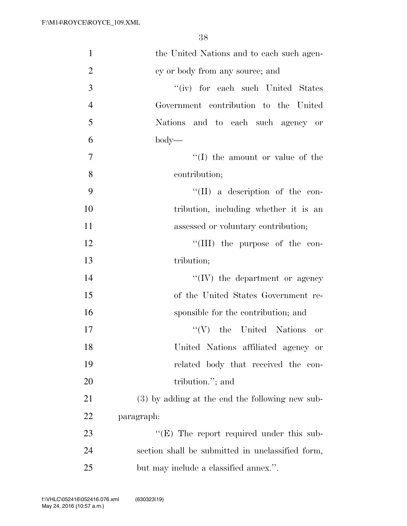| $\mathbf{1}$   | the United Nations and to each such agen-         |
|----------------|---------------------------------------------------|
| $\overline{2}$ | cy or body from any source; and                   |
| 3              | "(iv) for each such United States                 |
| $\overline{4}$ | Government contribution to the United             |
| 5              | Nations and to each such agency or                |
| 6              | $body$ —                                          |
| 7              | "(I) the amount or value of the                   |
| 8              | contribution;                                     |
| 9              | $\lq\lq$ (II) a description of the con-           |
| 10             | tribution, including whether it is an             |
| 11             | assessed or voluntary contribution;               |
| 12             | $\lq\lq$ (III) the purpose of the con-            |
| 13             | tribution;                                        |
| 14             | $\lq\lq (IV)$ the department or agency            |
| 15             | of the United States Government re-               |
| 16             | sponsible for the contribution; and               |
| 17             | $``(V)$ the United Nations<br><b>or</b>           |
| 18             | United Nations affiliated agency or               |
| 19             | related body that received the con-               |
| 20             | tribution."; and                                  |
| 21             | $(3)$ by adding at the end the following new sub- |
| 22             | paragraph:                                        |
| 23             | $\lq\lq(E)$ The report required under this sub-   |
| 24             | section shall be submitted in unclassified form,  |
| 25             | but may include a classified annex.".             |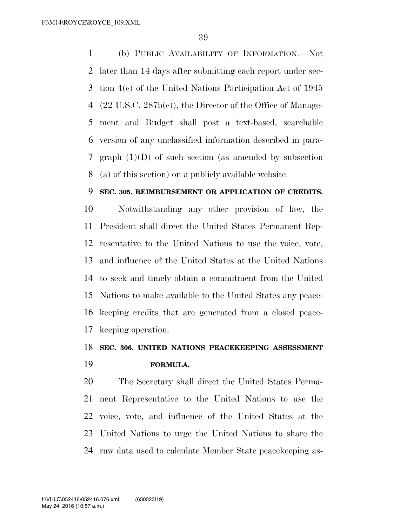(b) PUBLIC AVAILABILITY OF INFORMATION.—Not later than 14 days after submitting each report under sec- tion 4(c) of the United Nations Participation Act of 1945 (22 U.S.C. 287b(c)), the Director of the Office of Manage- ment and Budget shall post a text-based, searchable version of any unclassified information described in para- graph (1)(D) of such section (as amended by subsection (a) of this section) on a publicly available website.

#### **SEC. 305. REIMBURSEMENT OR APPLICATION OF CREDITS.**

 Notwithstanding any other provision of law, the President shall direct the United States Permanent Rep- resentative to the United Nations to use the voice, vote, and influence of the United States at the United Nations to seek and timely obtain a commitment from the United Nations to make available to the United States any peace- keeping credits that are generated from a closed peace-keeping operation.

### **SEC. 306. UNITED NATIONS PEACEKEEPING ASSESSMENT**

**FORMULA.** 

 The Secretary shall direct the United States Perma- nent Representative to the United Nations to use the voice, vote, and influence of the United States at the United Nations to urge the United Nations to share the raw data used to calculate Member State peacekeeping as-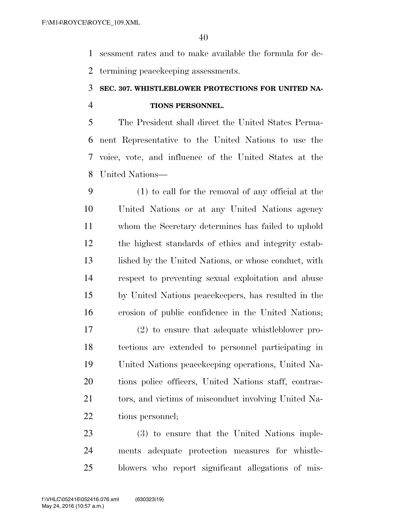sessment rates and to make available the formula for de-termining peacekeeping assessments.

### **SEC. 307. WHISTLEBLOWER PROTECTIONS FOR UNITED NA-TIONS PERSONNEL.**

 The President shall direct the United States Perma- nent Representative to the United Nations to use the voice, vote, and influence of the United States at the United Nations—

 (1) to call for the removal of any official at the United Nations or at any United Nations agency whom the Secretary determines has failed to uphold the highest standards of ethics and integrity estab-13 lished by the United Nations, or whose conduct, with respect to preventing sexual exploitation and abuse by United Nations peacekeepers, has resulted in the erosion of public confidence in the United Nations;

 (2) to ensure that adequate whistleblower pro- tections are extended to personnel participating in United Nations peacekeeping operations, United Na- tions police officers, United Nations staff, contrac-21 tors, and victims of misconduct involving United Na-tions personnel;

 (3) to ensure that the United Nations imple- ments adequate protection measures for whistle-blowers who report significant allegations of mis-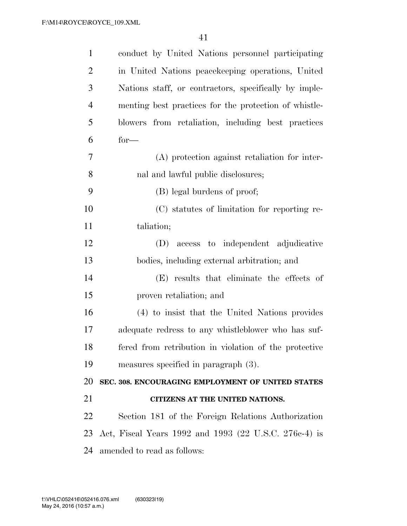| $\mathbf{1}$   | conduct by United Nations personnel participating     |
|----------------|-------------------------------------------------------|
| $\overline{2}$ | in United Nations peacekeeping operations, United     |
| 3              | Nations staff, or contractors, specifically by imple- |
| $\overline{4}$ | menting best practices for the protection of whistle- |
| 5              | blowers from retaliation, including best practices    |
| 6              | $for-$                                                |
| 7              | (A) protection against retaliation for inter-         |
| 8              | nal and lawful public disclosures;                    |
| 9              | (B) legal burdens of proof;                           |
| 10             | (C) statutes of limitation for reporting re-          |
| 11             | taliation;                                            |
| 12             | access to independent adjudicative<br>(D)             |
| 13             | bodies, including external arbitration; and           |
|                |                                                       |
| 14             | (E) results that eliminate the effects of             |
| 15             | proven retaliation; and                               |
| 16             | (4) to insist that the United Nations provides        |
| 17             | adequate redress to any whistleblower who has suf-    |
| 18             | fered from retribution in violation of the protective |
| 19             | measures specified in paragraph $(3)$ .               |
| 20             | SEC. 308. ENCOURAGING EMPLOYMENT OF UNITED STATES     |
| 21             | CITIZENS AT THE UNITED NATIONS.                       |
| 22             | Section 181 of the Foreign Relations Authorization    |
| 23             | Act, Fiscal Years 1992 and 1993 (22 U.S.C. 276c-4) is |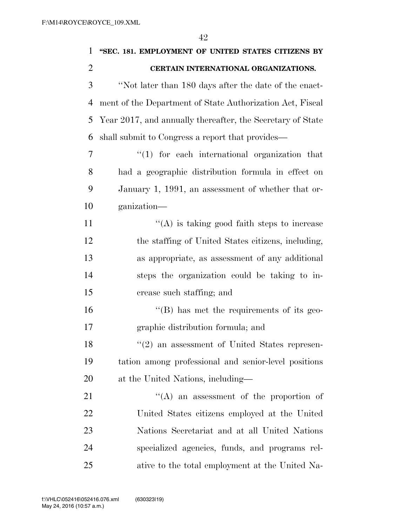| 1              | "SEC. 181. EMPLOYMENT OF UNITED STATES CITIZENS BY            |
|----------------|---------------------------------------------------------------|
| $\overline{2}$ | CERTAIN INTERNATIONAL ORGANIZATIONS.                          |
| 3              | "Not later than 180 days after the date of the enact-         |
| $\overline{4}$ | ment of the Department of State Authorization Act, Fiscal     |
| 5              | Year 2017, and annually thereafter, the Secretary of State    |
| 6              | shall submit to Congress a report that provides—              |
| 7              | $\lq(1)$ for each international organization that             |
| 8              | had a geographic distribution formula in effect on            |
| 9              | January 1, 1991, an assessment of whether that or-            |
| 10             | ganization—                                                   |
| 11             | $\lq\lq$ is taking good faith steps to increase               |
| 12             | the staffing of United States citizens, including,            |
| 13             | as appropriate, as assessment of any additional               |
| 14             | steps the organization could be taking to in-                 |
| 15             | crease such staffing; and                                     |
| 16             | $\lq\lq (B)$ has met the requirements of its geo-             |
| 17             | graphic distribution formula; and                             |
| 18             | $\cdot\cdot\cdot(2)$ an assessment of United States represen- |
| 19             | tation among professional and senior-level positions          |
| 20             | at the United Nations, including—                             |
| 21             | $\lq\lq$ an assessment of the proportion of                   |
| 22             | United States citizens employed at the United                 |
| 23             | Nations Secretariat and at all United Nations                 |
| 24             | specialized agencies, funds, and programs rel-                |
| 25             | ative to the total employment at the United Na-               |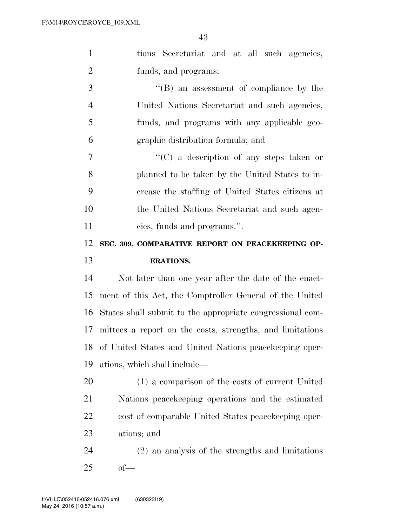| $\mathbf{1}$   | tions Secretariat and at all such agencies,               |
|----------------|-----------------------------------------------------------|
| $\overline{2}$ | funds, and programs;                                      |
| 3              | $\lq\lq (B)$ an assessment of compliance by the           |
| $\overline{4}$ | United Nations Secretariat and such agencies,             |
| $\mathfrak{S}$ | funds, and programs with any applicable geo-              |
| 6              | graphic distribution formula; and                         |
| $\overline{7}$ | $\lq\lq$ (C) a description of any steps taken or          |
| 8              | planned to be taken by the United States to in-           |
| 9              | crease the staffing of United States citizens at          |
| 10             | the United Nations Secretariat and such agen-             |
| 11             | cies, funds and programs.".                               |
| 12             | SEC. 309. COMPARATIVE REPORT ON PEACEKEEPING OP-          |
| 13             | <b>ERATIONS.</b>                                          |
|                |                                                           |
| 14             | Not later than one year after the date of the enact-      |
| 15             | ment of this Act, the Comptroller General of the United   |
| 16             | States shall submit to the appropriate congressional com- |
| 17             | mittees a report on the costs, strengths, and limitations |
|                | 18 of United States and United Nations peacekeeping oper- |
| 19             | ations, which shall include—                              |
| 20             | (1) a comparison of the costs of current United           |
| 21             | Nations peace keeping operations and the estimated        |
| 22             | cost of comparable United States peace keeping oper-      |
| 23             | ations; and                                               |
| 24             | (2) an analysis of the strengths and limitations          |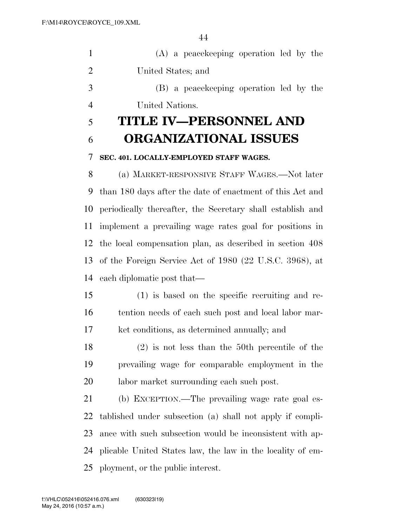|     | (A) a peace keeping operation led by the |
|-----|------------------------------------------|
| 2   | United States; and                       |
| - 3 | (B) a peace keeping operation led by the |
|     | United Nations.                          |

## **TITLE IV—PERSONNEL AND ORGANIZATIONAL ISSUES**

### **SEC. 401. LOCALLY-EMPLOYED STAFF WAGES.**

 (a) MARKET-RESPONSIVE STAFF WAGES.—Not later than 180 days after the date of enactment of this Act and periodically thereafter, the Secretary shall establish and implement a prevailing wage rates goal for positions in the local compensation plan, as described in section 408 of the Foreign Service Act of 1980 (22 U.S.C. 3968), at each diplomatic post that—

- (1) is based on the specific recruiting and re- tention needs of each such post and local labor mar-ket conditions, as determined annually; and
- (2) is not less than the 50th percentile of the prevailing wage for comparable employment in the labor market surrounding each such post.

 (b) EXCEPTION.—The prevailing wage rate goal es- tablished under subsection (a) shall not apply if compli- ance with such subsection would be inconsistent with ap- plicable United States law, the law in the locality of em-ployment, or the public interest.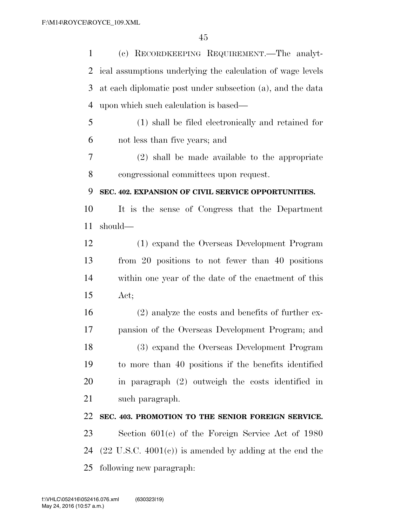(c) RECORDKEEPING REQUIREMENT.—The analyt- ical assumptions underlying the calculation of wage levels at each diplomatic post under subsection (a), and the data upon which such calculation is based— (1) shall be filed electronically and retained for not less than five years; and (2) shall be made available to the appropriate congressional committees upon request. **SEC. 402. EXPANSION OF CIVIL SERVICE OPPORTUNITIES.**  It is the sense of Congress that the Department should— (1) expand the Overseas Development Program from 20 positions to not fewer than 40 positions within one year of the date of the enactment of this Act; (2) analyze the costs and benefits of further ex- pansion of the Overseas Development Program; and (3) expand the Overseas Development Program to more than 40 positions if the benefits identified in paragraph (2) outweigh the costs identified in such paragraph. **SEC. 403. PROMOTION TO THE SENIOR FOREIGN SERVICE.**  Section 601(c) of the Foreign Service Act of 1980  $(22 \text{ U.S.C. } 4001(c))$  is amended by adding at the end the following new paragraph: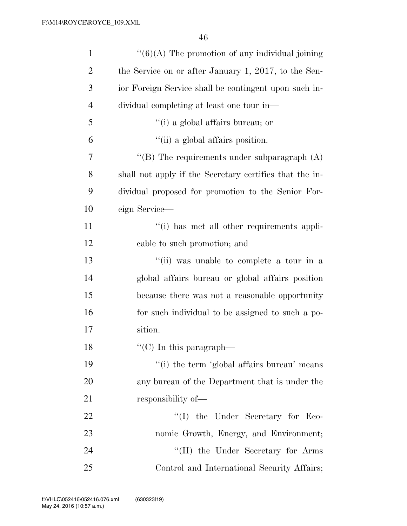| $\mathbf{1}$   | $``(6)(A)$ The promotion of any individual joining      |
|----------------|---------------------------------------------------------|
| $\overline{2}$ | the Service on or after January 1, 2017, to the Sen-    |
| 3              | ior Foreign Service shall be contingent upon such in-   |
| $\overline{4}$ | dividual completing at least one tour in-               |
| 5              | "(i) a global affairs bureau; or                        |
| 6              | "(ii) a global affairs position.                        |
| 7              | "(B) The requirements under subparagraph $(A)$          |
| 8              | shall not apply if the Secretary certifies that the in- |
| 9              | dividual proposed for promotion to the Senior For-      |
| 10             | eign Service-                                           |
| 11             | "(i) has met all other requirements appli-              |
| 12             | cable to such promotion; and                            |
| 13             | "(ii) was unable to complete a tour in a                |
| 14             | global affairs bureau or global affairs position        |
| 15             | because there was not a reasonable opportunity          |
| 16             | for such individual to be assigned to such a po-        |
| 17             | sition.                                                 |
| 18             | $\lq\lq$ <sup>"</sup> (C) In this paragraph—            |
| 19             | "(i) the term 'global affairs bureau' means             |
| <b>20</b>      | any bureau of the Department that is under the          |
| 21             | responsibility of—                                      |
| 22             | $\lq\lq$ (I) the Under Secretary for Eco-               |
| 23             | nomic Growth, Energy, and Environment;                  |
| 24             | "(II) the Under Secretary for Arms                      |
| 25             | Control and International Security Affairs;             |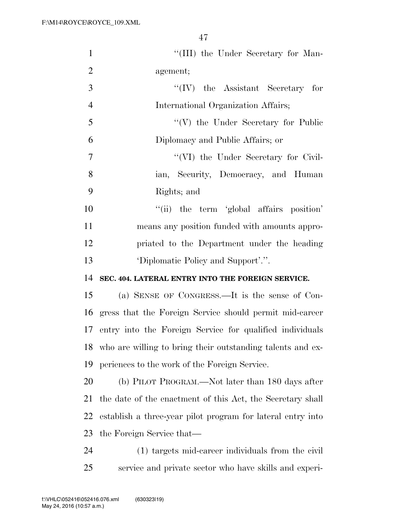| $\mathbf{1}$   | "(III) the Under Secretary for Man-                         |
|----------------|-------------------------------------------------------------|
| $\overline{2}$ | agement;                                                    |
| 3              | $``(IV)$ the Assistant Secretary for                        |
| $\overline{4}$ | International Organization Affairs;                         |
| 5              | $\lq\lq(V)$ the Under Secretary for Public                  |
| 6              | Diplomacy and Public Affairs; or                            |
| $\tau$         | "(VI) the Under Secretary for Civil-                        |
| 8              | ian, Security, Democracy, and Human                         |
| 9              | Rights; and                                                 |
| 10             | "(ii) the term 'global affairs position'                    |
| 11             | means any position funded with amounts appro-               |
| 12             | priated to the Department under the heading                 |
| 13             | 'Diplomatic Policy and Support'.".                          |
| 14             | SEC. 404. LATERAL ENTRY INTO THE FOREIGN SERVICE.           |
| 15             | (a) SENSE OF CONGRESS.—It is the sense of Con-              |
|                | 16 gress that the Foreign Service should permit mid-career  |
| 17             | entry into the Foreign Service for qualified individuals    |
| 18             |                                                             |
|                | who are willing to bring their outstanding talents and ex-  |
| 19             | periences to the work of the Foreign Service.               |
| 20             | (b) PILOT PROGRAM.—Not later than 180 days after            |
| 21             | the date of the enactment of this Act, the Secretary shall  |
| 22             | establish a three-year pilot program for lateral entry into |
| 23             | the Foreign Service that—                                   |
| 24             | (1) targets mid-career individuals from the civil           |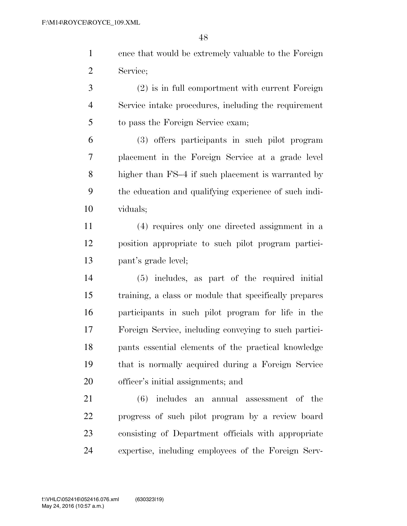ence that would be extremely valuable to the Foreign Service;

 (2) is in full comportment with current Foreign Service intake procedures, including the requirement to pass the Foreign Service exam;

 (3) offers participants in such pilot program placement in the Foreign Service at a grade level higher than FS–4 if such placement is warranted by the education and qualifying experience of such indi-viduals;

 (4) requires only one directed assignment in a position appropriate to such pilot program partici-pant's grade level;

 (5) includes, as part of the required initial training, a class or module that specifically prepares participants in such pilot program for life in the Foreign Service, including conveying to such partici- pants essential elements of the practical knowledge that is normally acquired during a Foreign Service officer's initial assignments; and

 (6) includes an annual assessment of the progress of such pilot program by a review board consisting of Department officials with appropriate expertise, including employees of the Foreign Serv-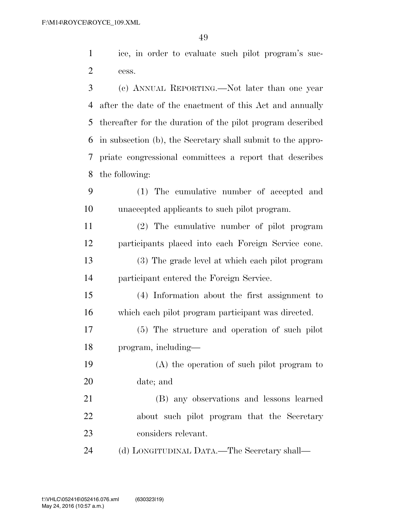ice, in order to evaluate such pilot program's suc-cess.

 (c) ANNUAL REPORTING.—Not later than one year after the date of the enactment of this Act and annually thereafter for the duration of the pilot program described in subsection (b), the Secretary shall submit to the appro- priate congressional committees a report that describes the following:

 (1) The cumulative number of accepted and unaccepted applicants to such pilot program.

 (2) The cumulative number of pilot program participants placed into each Foreign Service cone. (3) The grade level at which each pilot program participant entered the Foreign Service.

 (4) Information about the first assignment to which each pilot program participant was directed.

 (5) The structure and operation of such pilot program, including—

 (A) the operation of such pilot program to date; and

 (B) any observations and lessons learned about such pilot program that the Secretary considers relevant.

(d) LONGITUDINAL DATA.—The Secretary shall—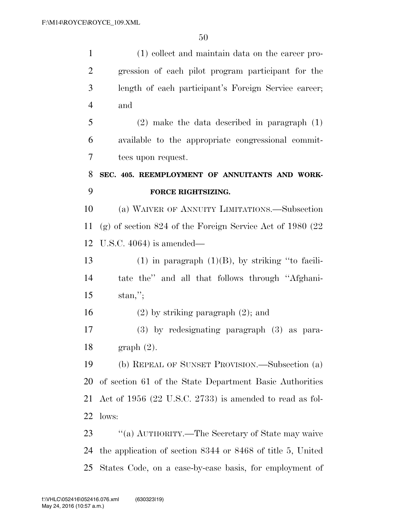(1) collect and maintain data on the career pro- gression of each pilot program participant for the length of each participant's Foreign Service career; and (2) make the data described in paragraph (1) available to the appropriate congressional commit- tees upon request. **SEC. 405. REEMPLOYMENT OF ANNUITANTS AND WORK- FORCE RIGHTSIZING.**  (a) WAIVER OF ANNUITY LIMITATIONS.—Subsection (g) of section 824 of the Foreign Service Act of 1980 (22 U.S.C. 4064) is amended— 13 (1) in paragraph  $(1)(B)$ , by striking "to facili- tate the'' and all that follows through ''Afghani- stan,''; (2) by striking paragraph (2); and (3) by redesignating paragraph (3) as para- graph (2). (b) REPEAL OF SUNSET PROVISION.—Subsection (a) of section 61 of the State Department Basic Authorities Act of 1956 (22 U.S.C. 2733) is amended to read as fol- lows: 23 "(a) AUTHORITY.—The Secretary of State may waive the application of section 8344 or 8468 of title 5, United States Code, on a case-by-case basis, for employment of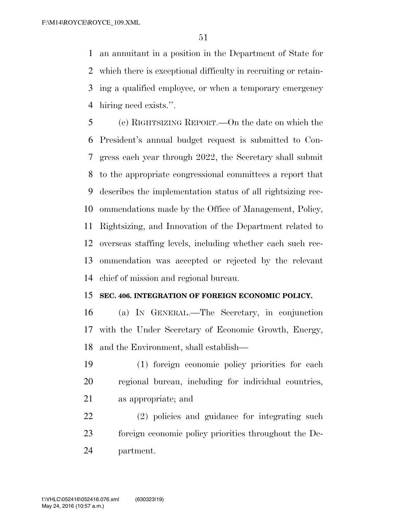an annuitant in a position in the Department of State for which there is exceptional difficulty in recruiting or retain- ing a qualified employee, or when a temporary emergency hiring need exists.''.

 (c) RIGHTSIZING REPORT.—On the date on which the President's annual budget request is submitted to Con- gress each year through 2022, the Secretary shall submit to the appropriate congressional committees a report that describes the implementation status of all rightsizing rec- ommendations made by the Office of Management, Policy, Rightsizing, and Innovation of the Department related to overseas staffing levels, including whether each such rec- ommendation was accepted or rejected by the relevant chief of mission and regional bureau.

#### **SEC. 406. INTEGRATION OF FOREIGN ECONOMIC POLICY.**

 (a) IN GENERAL.—The Secretary, in conjunction with the Under Secretary of Economic Growth, Energy, and the Environment, shall establish—

 (1) foreign economic policy priorities for each regional bureau, including for individual countries, as appropriate; and

 (2) policies and guidance for integrating such foreign economic policy priorities throughout the De-partment.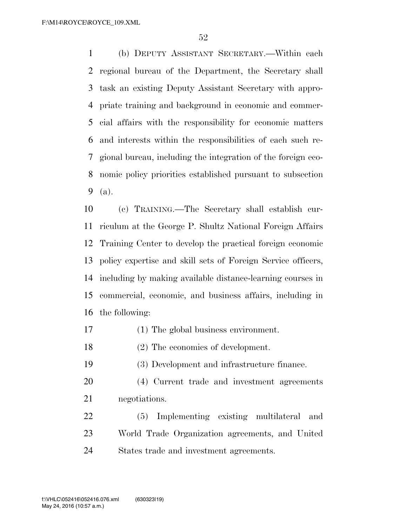(b) DEPUTY ASSISTANT SECRETARY.—Within each regional bureau of the Department, the Secretary shall task an existing Deputy Assistant Secretary with appro- priate training and background in economic and commer- cial affairs with the responsibility for economic matters and interests within the responsibilities of each such re- gional bureau, including the integration of the foreign eco- nomic policy priorities established pursuant to subsection (a).

 (c) TRAINING.—The Secretary shall establish cur- riculum at the George P. Shultz National Foreign Affairs Training Center to develop the practical foreign economic policy expertise and skill sets of Foreign Service officers, including by making available distance-learning courses in commercial, economic, and business affairs, including in the following:

- (1) The global business environment.
- (2) The economics of development.

(3) Development and infrastructure finance.

- (4) Current trade and investment agreements negotiations.
- (5) Implementing existing multilateral and World Trade Organization agreements, and United States trade and investment agreements.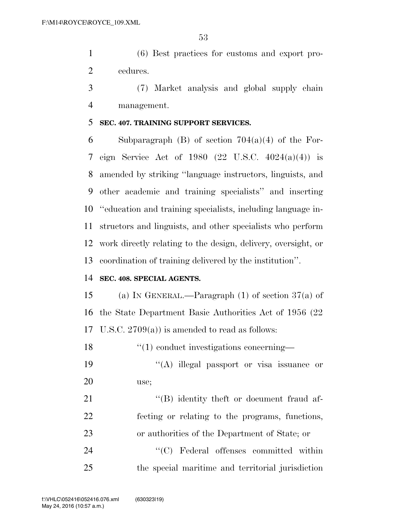(6) Best practices for customs and export pro-cedures.

 (7) Market analysis and global supply chain management.

#### **SEC. 407. TRAINING SUPPORT SERVICES.**

6 Subparagraph (B) of section  $704(a)(4)$  of the For- eign Service Act of 1980 (22 U.S.C. 4024(a)(4)) is amended by striking ''language instructors, linguists, and other academic and training specialists'' and inserting ''education and training specialists, including language in- structors and linguists, and other specialists who perform work directly relating to the design, delivery, oversight, or coordination of training delivered by the institution''.

### **SEC. 408. SPECIAL AGENTS.**

15 (a) IN GENERAL.—Paragraph (1) of section  $37(a)$  of the State Department Basic Authorities Act of 1956 (22 U.S.C. 2709(a)) is amended to read as follows:

18  $\frac{1}{2}$  (1) conduct investigations concerning—

19 ''(A) illegal passport or visa issuance or use;

21 ''(B) identity the ft or document fraud af- fecting or relating to the programs, functions, or authorities of the Department of State; or

 ''(C) Federal offenses committed within the special maritime and territorial jurisdiction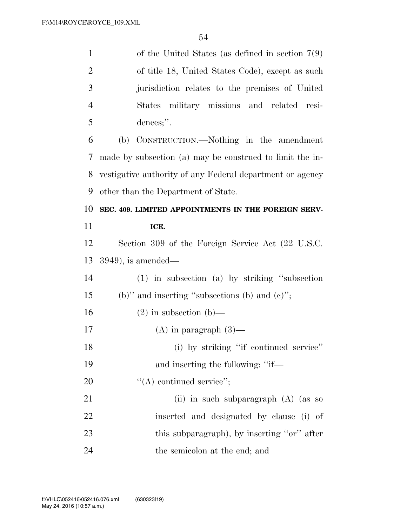| $\mathbf{1}$   | of the United States (as defined in section $7(9)$ )      |
|----------------|-----------------------------------------------------------|
| $\overline{2}$ | of title 18, United States Code), except as such          |
| 3              | jurisdiction relates to the premises of United            |
| $\overline{4}$ | States military missions and related<br>resi-             |
| 5              | dences;".                                                 |
| 6              | CONSTRUCTION.—Nothing in the amendment<br>(b)             |
| 7              | made by subsection (a) may be construed to limit the in-  |
| 8              | vestigative authority of any Federal department or agency |
| 9              | other than the Department of State.                       |
| 10             | SEC. 409. LIMITED APPOINTMENTS IN THE FOREIGN SERV-       |
| 11             | ICE.                                                      |
| 12             | Section 309 of the Foreign Service Act (22 U.S.C.         |
| 13             | $(3949)$ , is amended—                                    |
| 14             | (1) in subsection (a) by striking "subsection             |
| 15             | (b)" and inserting "subsections (b) and $(e)$ ";          |
| 16             | $(2)$ in subsection $(b)$ —                               |
| 17             | $(A)$ in paragraph $(3)$ —                                |
| 18             | (i) by striking "if continued service"                    |
| 19             | and inserting the following: "if-                         |
| 20             | $"$ (A) continued service";                               |
| 21             | (ii) in such subparagraph (A) (as so                      |
| 22             | inserted and designated by clause (i) of                  |
| 23             | this subparagraph), by inserting "or" after               |
| 24             | the semicolon at the end; and                             |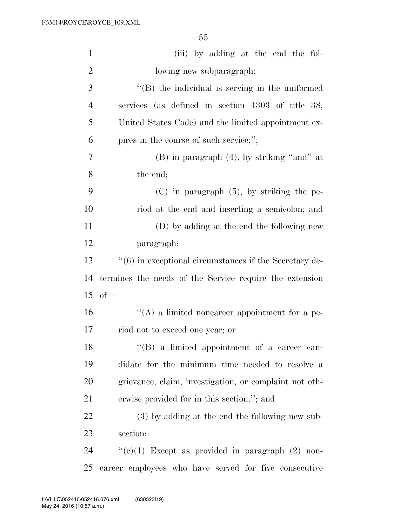| $\mathbf{1}$   | (iii) by adding at the end the fol-                      |
|----------------|----------------------------------------------------------|
| $\overline{2}$ | lowing new subparagraph:                                 |
| 3              | "(B) the individual is serving in the uniformed          |
| $\overline{4}$ | services (as defined in section 4303 of title 38,        |
| 5              | United States Code) and the limited appointment ex-      |
| 6              | pires in the course of such service;";                   |
| 7              | $(B)$ in paragraph $(4)$ , by striking "and" at          |
| 8              | the end;                                                 |
| 9              | $(C)$ in paragraph $(5)$ , by striking the pe-           |
| 10             | riod at the end and inserting a semicolon; and           |
| 11             | (D) by adding at the end the following new               |
| 12             | paragraph:                                               |
| 13             | $"(6)$ in exceptional circumstances if the Secretary de- |
| 14             | termines the needs of the Service require the extension  |
| 15             | $of$ —                                                   |
| 16             | $\lq\lq(A)$ a limited noncareer appointment for a pe-    |
| $17$           | riod not to exceed one year; or                          |
| 18             | "(B) a limited appointment of a career can-              |
| 19             | didate for the minimum time needed to resolve a          |
| 20             | grievance, claim, investigation, or complaint not oth-   |
| 21             | erwise provided for in this section."; and               |
| 22             | (3) by adding at the end the following new sub-          |
| 23             | section:                                                 |
| 24             | " $(e)(1)$ Except as provided in paragraph $(2)$ non-    |
| 25             | career employees who have served for five consecutive    |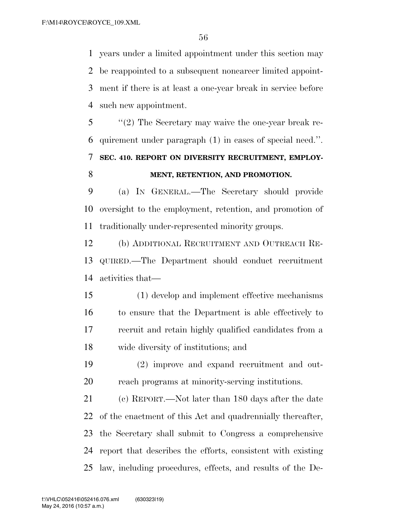years under a limited appointment under this section may be reappointed to a subsequent noncareer limited appoint- ment if there is at least a one-year break in service before such new appointment.

 ''(2) The Secretary may waive the one-year break re- quirement under paragraph (1) in cases of special need.''. **SEC. 410. REPORT ON DIVERSITY RECRUITMENT, EMPLOY-MENT, RETENTION, AND PROMOTION.** 

 (a) IN GENERAL.—The Secretary should provide oversight to the employment, retention, and promotion of traditionally under-represented minority groups.

 (b) ADDITIONAL RECRUITMENT AND OUTREACH RE- QUIRED.—The Department should conduct recruitment activities that—

 (1) develop and implement effective mechanisms to ensure that the Department is able effectively to recruit and retain highly qualified candidates from a wide diversity of institutions; and

 (2) improve and expand recruitment and out-reach programs at minority-serving institutions.

 (c) REPORT.—Not later than 180 days after the date of the enactment of this Act and quadrennially thereafter, the Secretary shall submit to Congress a comprehensive report that describes the efforts, consistent with existing law, including procedures, effects, and results of the De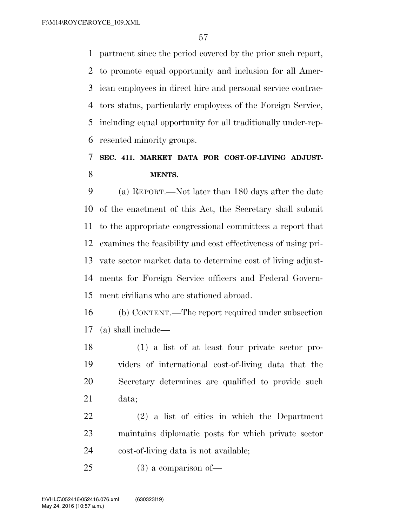partment since the period covered by the prior such report, to promote equal opportunity and inclusion for all Amer- ican employees in direct hire and personal service contrac- tors status, particularly employees of the Foreign Service, including equal opportunity for all traditionally under-rep-resented minority groups.

### **SEC. 411. MARKET DATA FOR COST-OF-LIVING ADJUST-MENTS.**

 (a) REPORT.—Not later than 180 days after the date of the enactment of this Act, the Secretary shall submit to the appropriate congressional committees a report that examines the feasibility and cost effectiveness of using pri- vate sector market data to determine cost of living adjust- ments for Foreign Service officers and Federal Govern-ment civilians who are stationed abroad.

 (b) CONTENT.—The report required under subsection (a) shall include—

 (1) a list of at least four private sector pro- viders of international cost-of-living data that the Secretary determines are qualified to provide such data;

 (2) a list of cities in which the Department maintains diplomatic posts for which private sector cost-of-living data is not available;

(3) a comparison of—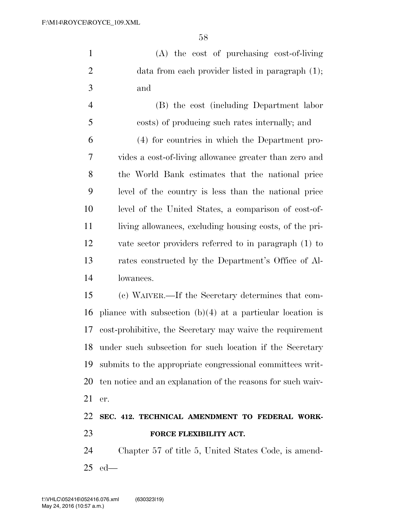(A) the cost of purchasing cost-of-living 2 data from each provider listed in paragraph  $(1)$ ; and

 (B) the cost (including Department labor costs) of producing such rates internally; and (4) for countries in which the Department pro- vides a cost-of-living allowance greater than zero and the World Bank estimates that the national price level of the country is less than the national price level of the United States, a comparison of cost-of- living allowances, excluding housing costs, of the pri- vate sector providers referred to in paragraph (1) to rates constructed by the Department's Office of Al-lowances.

 (c) WAIVER.—If the Secretary determines that com- pliance with subsection (b)(4) at a particular location is cost-prohibitive, the Secretary may waive the requirement under such subsection for such location if the Secretary submits to the appropriate congressional committees writ- ten notice and an explanation of the reasons for such waiv-er.

### **SEC. 412. TECHNICAL AMENDMENT TO FEDERAL WORK-FORCE FLEXIBILITY ACT.**

 Chapter 57 of title 5, United States Code, is amend-ed—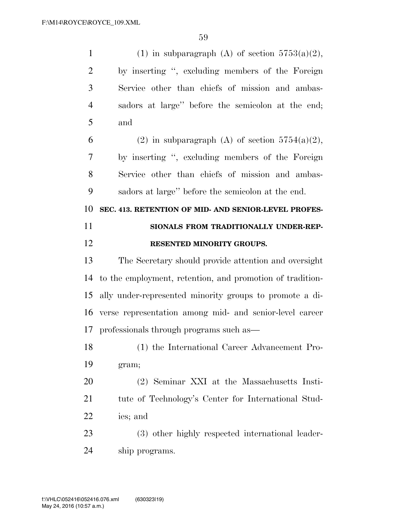| $\mathbf{1}$         | (1) in subparagraph (A) of section $5753(a)(2)$ ,         |
|----------------------|-----------------------------------------------------------|
| $\overline{2}$       | by inserting ", excluding members of the Foreign          |
| 3                    | Service other than chiefs of mission and ambas-           |
| $\overline{4}$       | sadors at large" before the semicolon at the end;         |
| 5                    | and                                                       |
| 6                    | (2) in subparagraph (A) of section $5754(a)(2)$ ,         |
| 7                    | by inserting ", excluding members of the Foreign          |
| 8                    | Service other than chiefs of mission and ambas-           |
| 9                    | sadors at large" before the semicolon at the end.         |
| 10                   | SEC. 413. RETENTION OF MID- AND SENIOR-LEVEL PROFES-      |
| 11                   | SIONALS FROM TRADITIONALLY UNDER-REP-                     |
| 12                   | RESENTED MINORITY GROUPS.                                 |
|                      |                                                           |
| 13                   | The Secretary should provide attention and oversight      |
| 14                   | to the employment, retention, and promotion of tradition- |
|                      | ally under-represented minority groups to promote a di-   |
|                      | verse representation among mid- and senior-level career   |
|                      | professionals through programs such as—                   |
| 15<br>16<br>17<br>18 | (1) the International Career Advancement Pro-             |
| 19                   | gram;                                                     |
| 20                   | (2) Seminar XXI at the Massachusetts Insti-               |
| 21                   | tute of Technology's Center for International Stud-       |
| 22                   | ies; and                                                  |
| 23                   | (3) other highly respected international leader-          |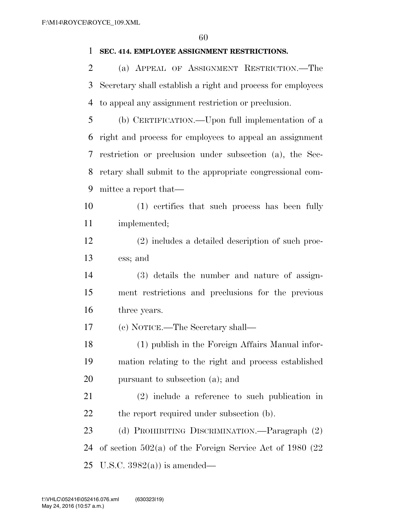#### **SEC. 414. EMPLOYEE ASSIGNMENT RESTRICTIONS.**

 (a) APPEAL OF ASSIGNMENT RESTRICTION.—The Secretary shall establish a right and process for employees to appeal any assignment restriction or preclusion.

 (b) CERTIFICATION.—Upon full implementation of a right and process for employees to appeal an assignment restriction or preclusion under subsection (a), the Sec- retary shall submit to the appropriate congressional com-mittee a report that—

 (1) certifies that such process has been fully implemented;

 (2) includes a detailed description of such proc-ess; and

 (3) details the number and nature of assign- ment restrictions and preclusions for the previous three years.

(c) NOTICE.—The Secretary shall—

 (1) publish in the Foreign Affairs Manual infor- mation relating to the right and process established pursuant to subsection (a); and

 (2) include a reference to such publication in 22 the report required under subsection (b).

 (d) PROHIBITING DISCRIMINATION.—Paragraph (2) of section 502(a) of the Foreign Service Act of 1980 (22 25 U.S.C.  $3982(a)$  is amended—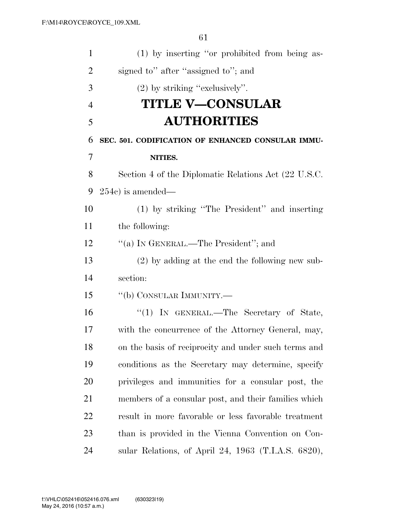| $\mathbf{1}$   | (1) by inserting "or prohibited from being as-       |
|----------------|------------------------------------------------------|
| $\overline{2}$ | signed to" after "assigned to"; and                  |
| 3              | $(2)$ by striking "exclusively".                     |
| $\overline{4}$ | <b>TITLE V—CONSULAR</b>                              |
| 5              | <b>AUTHORITIES</b>                                   |
| 6              | SEC. 501. CODIFICATION OF ENHANCED CONSULAR IMMU-    |
| 7              | NITIES.                                              |
| 8              | Section 4 of the Diplomatic Relations Act (22 U.S.C. |
| 9              | $254c$ is amended—                                   |
| 10             | (1) by striking "The President" and inserting        |
| 11             | the following:                                       |
| 12             | "(a) IN GENERAL.—The President"; and                 |
| 13             | $(2)$ by adding at the end the following new sub-    |
| 14             | section:                                             |
| 15             | "(b) CONSULAR IMMUNITY.—                             |
| 16             | "(1) IN GENERAL.—The Secretary of State,             |
| 17             | with the concurrence of the Attorney General, may,   |
| 18             | on the basis of reciprocity and under such terms and |
| 19             | conditions as the Secretary may determine, specify   |
| 20             | privileges and immunities for a consular post, the   |
| 21             | members of a consular post, and their families which |
| <u>22</u>      | result in more favorable or less favorable treatment |
| 23             | than is provided in the Vienna Convention on Con-    |
| 24             | sular Relations, of April 24, 1963 (T.I.A.S. 6820),  |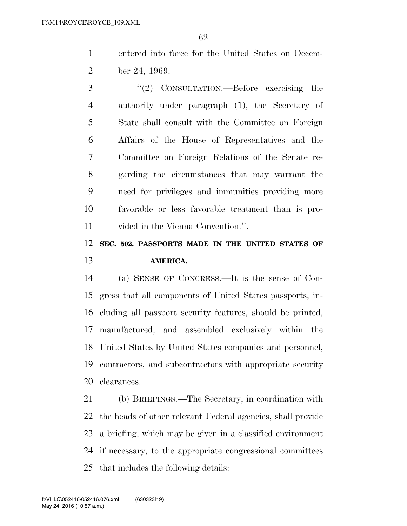entered into force for the United States on Decem-ber 24, 1969.

 ''(2) CONSULTATION.—Before exercising the authority under paragraph (1), the Secretary of State shall consult with the Committee on Foreign Affairs of the House of Representatives and the Committee on Foreign Relations of the Senate re- garding the circumstances that may warrant the need for privileges and immunities providing more favorable or less favorable treatment than is pro-vided in the Vienna Convention.''.

### **SEC. 502. PASSPORTS MADE IN THE UNITED STATES OF AMERICA.**

 (a) SENSE OF CONGRESS.—It is the sense of Con- gress that all components of United States passports, in- cluding all passport security features, should be printed, manufactured, and assembled exclusively within the United States by United States companies and personnel, contractors, and subcontractors with appropriate security clearances.

 (b) BRIEFINGS.—The Secretary, in coordination with the heads of other relevant Federal agencies, shall provide a briefing, which may be given in a classified environment if necessary, to the appropriate congressional committees that includes the following details: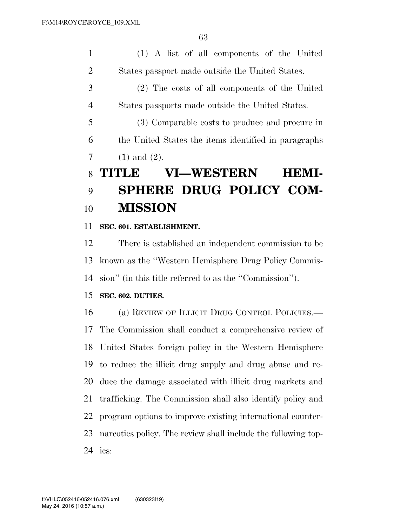(1) A list of all components of the United States passport made outside the United States.

 (2) The costs of all components of the United States passports made outside the United States.

 (3) Comparable costs to produce and procure in the United States the items identified in paragraphs 7  $(1)$  and  $(2)$ .

# **TITLE VI—WESTERN HEMI- SPHERE DRUG POLICY COM-MISSION**

### **SEC. 601. ESTABLISHMENT.**

 There is established an independent commission to be known as the ''Western Hemisphere Drug Policy Commis-sion'' (in this title referred to as the ''Commission'').

### **SEC. 602. DUTIES.**

 (a) REVIEW OF ILLICIT DRUG CONTROL POLICIES.— The Commission shall conduct a comprehensive review of United States foreign policy in the Western Hemisphere to reduce the illicit drug supply and drug abuse and re- duce the damage associated with illicit drug markets and trafficking. The Commission shall also identify policy and program options to improve existing international counter- narcotics policy. The review shall include the following top-ics: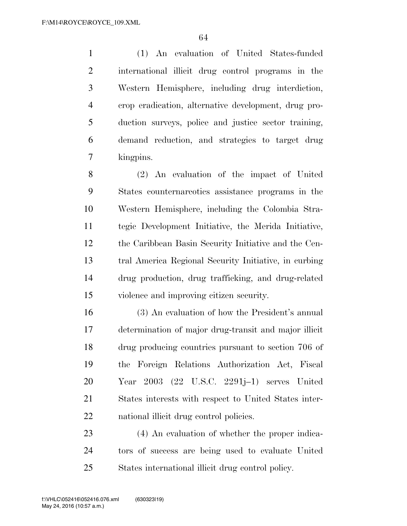(1) An evaluation of United States-funded international illicit drug control programs in the Western Hemisphere, including drug interdiction, crop eradication, alternative development, drug pro- duction surveys, police and justice sector training, demand reduction, and strategies to target drug kingpins.

 (2) An evaluation of the impact of United States counternarcotics assistance programs in the Western Hemisphere, including the Colombia Stra- tegic Development Initiative, the Merida Initiative, the Caribbean Basin Security Initiative and the Cen- tral America Regional Security Initiative, in curbing drug production, drug trafficking, and drug-related violence and improving citizen security.

 (3) An evaluation of how the President's annual determination of major drug-transit and major illicit drug producing countries pursuant to section 706 of the Foreign Relations Authorization Act, Fiscal Year 2003 (22 U.S.C. 2291j–1) serves United States interests with respect to United States inter-national illicit drug control policies.

 (4) An evaluation of whether the proper indica- tors of success are being used to evaluate United States international illicit drug control policy.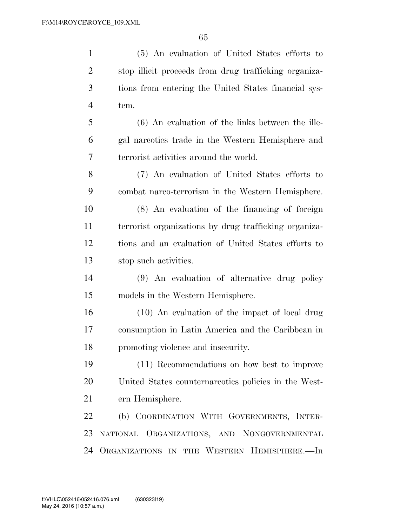| $\mathbf{1}$   | (5) An evaluation of United States efforts to         |
|----------------|-------------------------------------------------------|
| $\overline{2}$ | stop illicit proceeds from drug trafficking organiza- |
| 3              | tions from entering the United States financial sys-  |
| $\overline{4}$ | tem.                                                  |
| 5              | $(6)$ An evaluation of the links between the ille-    |
| 6              | gal narcotics trade in the Western Hemisphere and     |
| 7              | terrorist activities around the world.                |
| 8              | (7) An evaluation of United States efforts to         |
| 9              | combat narco-terrorism in the Western Hemisphere.     |
| 10             | (8) An evaluation of the financing of foreign         |
| 11             | terrorist organizations by drug trafficking organiza- |
| 12             | tions and an evaluation of United States efforts to   |
| 13             | stop such activities.                                 |
| 14             | (9) An evaluation of alternative drug policy          |
| 15             | models in the Western Hemisphere.                     |
| 16             | $(10)$ An evaluation of the impact of local drug      |
| 17             | consumption in Latin America and the Caribbean in     |
| 18             | promoting violence and insecurity.                    |
| 19             | (11) Recommendations on how best to improve           |
| 20             | United States counternareotics policies in the West-  |
| 21             | ern Hemisphere.                                       |
| 22             | (b) COORDINATION WITH GOVERNMENTS, INTER-             |
| 23             | NATIONAL ORGANIZATIONS, AND NONGOVERNMENTAL           |
| 24             | ORGANIZATIONS IN THE WESTERN HEMISPHERE.-In           |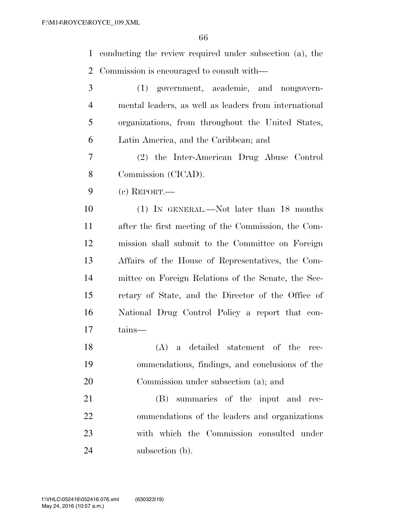conducting the review required under subsection (a), the Commission is encouraged to consult with—

 (1) government, academic, and nongovern- mental leaders, as well as leaders from international organizations, from throughout the United States, Latin America, and the Caribbean; and (2) the Inter-American Drug Abuse Control Commission (CICAD). (c) REPORT.— (1) IN GENERAL.—Not later than 18 months after the first meeting of the Commission, the Com- mission shall submit to the Committee on Foreign Affairs of the House of Representatives, the Com- mittee on Foreign Relations of the Senate, the Sec- retary of State, and the Director of the Office of National Drug Control Policy a report that con- tains— (A) a detailed statement of the rec- ommendations, findings, and conclusions of the Commission under subsection (a); and

 (B) summaries of the input and rec- ommendations of the leaders and organizations with which the Commission consulted under 24 subsection (b).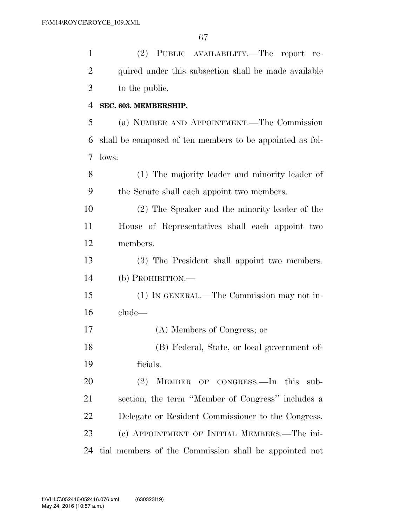| $\mathbf{1}$   | (2) PUBLIC AVAILABILITY.—The report re-                  |
|----------------|----------------------------------------------------------|
| $\overline{2}$ | quired under this subsection shall be made available     |
| 3              | to the public.                                           |
| $\overline{4}$ | SEC. 603. MEMBERSHIP.                                    |
| 5              | (a) NUMBER AND APPOINTMENT.—The Commission               |
| 6              | shall be composed of ten members to be appointed as fol- |
| 7              | lows:                                                    |
| 8              | (1) The majority leader and minority leader of           |
| 9              | the Senate shall each appoint two members.               |
| 10             | (2) The Speaker and the minority leader of the           |
| 11             | House of Representatives shall each appoint two          |
| 12             | members.                                                 |
| 13             | (3) The President shall appoint two members.             |
| 14             | $(b)$ PROHIBITION.—                                      |
| 15             | (1) IN GENERAL.—The Commission may not in-               |
| 16             | clude-                                                   |
| 17             | (A) Members of Congress; or                              |
| 18             | (B) Federal, State, or local government of-              |
| 19             | ficials.                                                 |
| 20             | MEMBER OF CONGRESS.—In this sub-<br>(2)                  |
| 21             | section, the term "Member of Congress" includes a        |
| 22             | Delegate or Resident Commissioner to the Congress.       |
| 23             | (c) APPOINTMENT OF INITIAL MEMBERS.—The ini-             |
| 24             | tial members of the Commission shall be appointed not    |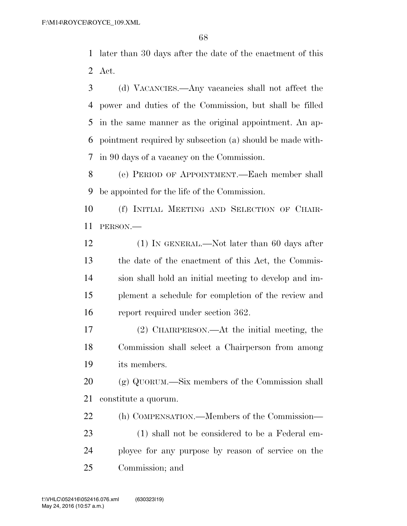later than 30 days after the date of the enactment of this Act.

 (d) VACANCIES.—Any vacancies shall not affect the power and duties of the Commission, but shall be filled in the same manner as the original appointment. An ap- pointment required by subsection (a) should be made with-in 90 days of a vacancy on the Commission.

 (e) PERIOD OF APPOINTMENT.—Each member shall be appointed for the life of the Commission.

 (f) INITIAL MEETING AND SELECTION OF CHAIR-PERSON.—

12 (1) IN GENERAL.—Not later than 60 days after the date of the enactment of this Act, the Commis- sion shall hold an initial meeting to develop and im- plement a schedule for completion of the review and report required under section 362.

 (2) CHAIRPERSON.—At the initial meeting, the Commission shall select a Chairperson from among its members.

 (g) QUORUM.—Six members of the Commission shall constitute a quorum.

(h) COMPENSATION.—Members of the Commission—

 (1) shall not be considered to be a Federal em- ployee for any purpose by reason of service on the Commission; and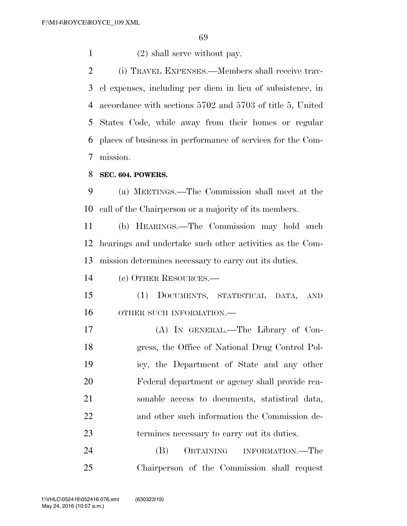1 (2) shall serve without pay.

 (i) TRAVEL EXPENSES.—Members shall receive trav- el expenses, including per diem in lieu of subsistence, in accordance with sections 5702 and 5703 of title 5, United States Code, while away from their homes or regular places of business in performance of services for the Com-mission.

**SEC. 604. POWERS.** 

 (a) MEETINGS.—The Commission shall meet at the call of the Chairperson or a majority of its members.

 (b) HEARINGS.—The Commission may hold such hearings and undertake such other activities as the Com-mission determines necessary to carry out its duties.

(c) OTHER RESOURCES.—

 (1) DOCUMENTS, STATISTICAL DATA, AND OTHER SUCH INFORMATION.—

 (A) IN GENERAL.—The Library of Con- gress, the Office of National Drug Control Pol- icy, the Department of State and any other Federal department or agency shall provide rea- sonable access to documents, statistical data, and other such information the Commission de-termines necessary to carry out its duties.

 (B) OBTAINING INFORMATION.—The Chairperson of the Commission shall request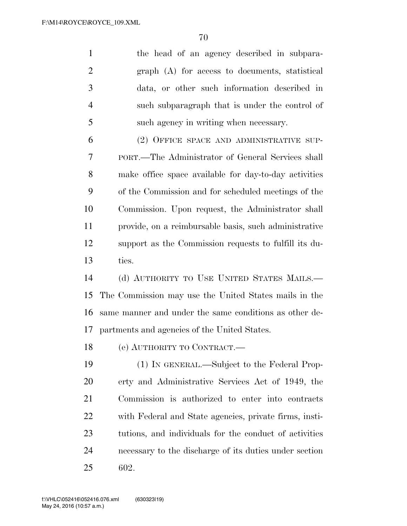|    | the head of an agency described in subpara-    |
|----|------------------------------------------------|
| 2  | graph (A) for access to documents, statistical |
| -3 | data, or other such information described in   |
|    | such subparagraph that is under the control of |
| -5 | such agency in writing when necessary.         |
| 6  | (2) OFFICE SPACE AND ADMINISTRATIVE SUP-       |

 PORT.—The Administrator of General Services shall make office space available for day-to-day activities of the Commission and for scheduled meetings of the Commission. Upon request, the Administrator shall provide, on a reimbursable basis, such administrative support as the Commission requests to fulfill its du-ties.

 (d) AUTHORITY TO USE UNITED STATES MAILS.— The Commission may use the United States mails in the same manner and under the same conditions as other de-partments and agencies of the United States.

(e) AUTHORITY TO CONTRACT.—

 (1) IN GENERAL.—Subject to the Federal Prop- erty and Administrative Services Act of 1949, the Commission is authorized to enter into contracts with Federal and State agencies, private firms, insti- tutions, and individuals for the conduct of activities necessary to the discharge of its duties under section 602.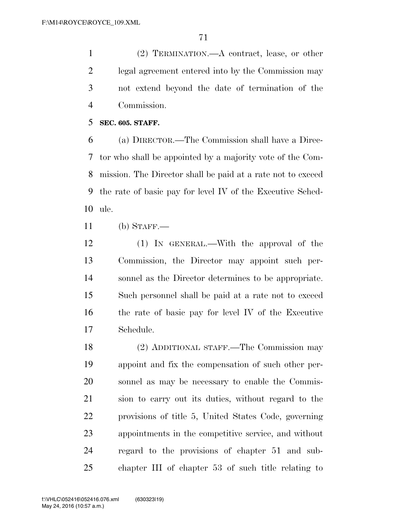(2) TERMINATION.—A contract, lease, or other legal agreement entered into by the Commission may not extend beyond the date of termination of the Commission.

**SEC. 605. STAFF.** 

 (a) DIRECTOR.—The Commission shall have a Direc- tor who shall be appointed by a majority vote of the Com- mission. The Director shall be paid at a rate not to exceed the rate of basic pay for level IV of the Executive Sched-ule.

(b) STAFF.—

 (1) IN GENERAL.—With the approval of the Commission, the Director may appoint such per- sonnel as the Director determines to be appropriate. Such personnel shall be paid at a rate not to exceed the rate of basic pay for level IV of the Executive Schedule.

 (2) ADDITIONAL STAFF.—The Commission may appoint and fix the compensation of such other per- sonnel as may be necessary to enable the Commis- sion to carry out its duties, without regard to the provisions of title 5, United States Code, governing appointments in the competitive service, and without regard to the provisions of chapter 51 and sub-chapter III of chapter 53 of such title relating to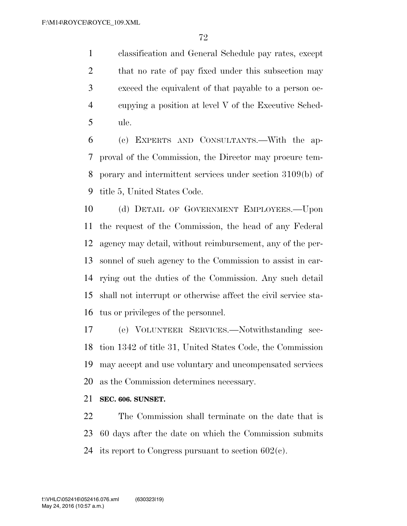classification and General Schedule pay rates, except 2 that no rate of pay fixed under this subsection may exceed the equivalent of that payable to a person oc- cupying a position at level V of the Executive Sched-ule.

 (c) EXPERTS AND CONSULTANTS.—With the ap- proval of the Commission, the Director may procure tem- porary and intermittent services under section 3109(b) of title 5, United States Code.

10 (d) DETAIL OF GOVERNMENT EMPLOYEES. Upon the request of the Commission, the head of any Federal agency may detail, without reimbursement, any of the per- sonnel of such agency to the Commission to assist in car- rying out the duties of the Commission. Any such detail shall not interrupt or otherwise affect the civil service sta-tus or privileges of the personnel.

 (e) VOLUNTEER SERVICES.—Notwithstanding sec- tion 1342 of title 31, United States Code, the Commission may accept and use voluntary and uncompensated services as the Commission determines necessary.

**SEC. 606. SUNSET.** 

 The Commission shall terminate on the date that is 60 days after the date on which the Commission submits 24 its report to Congress pursuant to section  $602(c)$ .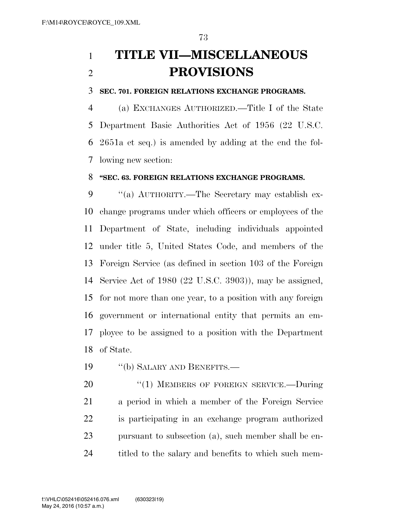# **TITLE VII—MISCELLANEOUS PROVISIONS**

#### **SEC. 701. FOREIGN RELATIONS EXCHANGE PROGRAMS.**

 (a) EXCHANGES AUTHORIZED.—Title I of the State Department Basic Authorities Act of 1956 (22 U.S.C. 2651a et seq.) is amended by adding at the end the fol-lowing new section:

#### **''SEC. 63. FOREIGN RELATIONS EXCHANGE PROGRAMS.**

9 "(a) AUTHORITY.—The Secretary may establish ex- change programs under which officers or employees of the Department of State, including individuals appointed under title 5, United States Code, and members of the Foreign Service (as defined in section 103 of the Foreign Service Act of 1980 (22 U.S.C. 3903)), may be assigned, for not more than one year, to a position with any foreign government or international entity that permits an em- ployee to be assigned to a position with the Department of State.

19 "(b) SALARY AND BENEFITS.—

20 "(1) MEMBERS OF FOREIGN SERVICE.—During a period in which a member of the Foreign Service is participating in an exchange program authorized pursuant to subsection (a), such member shall be en-24 titled to the salary and benefits to which such mem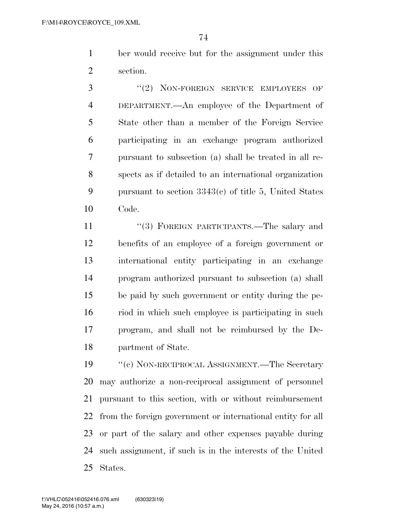ber would receive but for the assignment under this section.

3 "(2) NON-FOREIGN SERVICE EMPLOYEES OF DEPARTMENT.—An employee of the Department of State other than a member of the Foreign Service participating in an exchange program authorized pursuant to subsection (a) shall be treated in all re- spects as if detailed to an international organization pursuant to section 3343(c) of title 5, United States Code.

11 ''(3) FOREIGN PARTICIPANTS.—The salary and benefits of an employee of a foreign government or international entity participating in an exchange program authorized pursuant to subsection (a) shall be paid by such government or entity during the pe- riod in which such employee is participating in such program, and shall not be reimbursed by the De-partment of State.

19 "'(c) NON-RECIPROCAL ASSIGNMENT.—The Secretary may authorize a non-reciprocal assignment of personnel pursuant to this section, with or without reimbursement from the foreign government or international entity for all or part of the salary and other expenses payable during such assignment, if such is in the interests of the United States.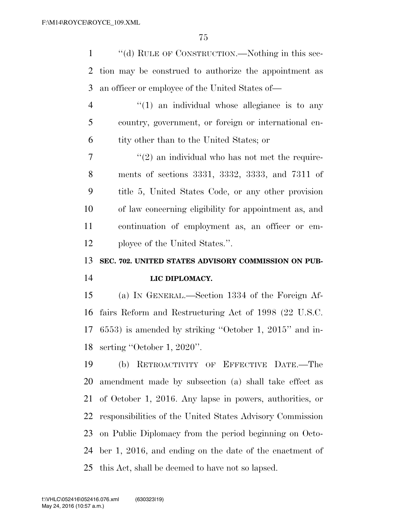| $\mathbf{1}$   | "(d) RULE OF CONSTRUCTION.—Nothing in this sec-           |
|----------------|-----------------------------------------------------------|
| $\overline{2}$ | tion may be construed to authorize the appointment as     |
| 3              | an officer or employee of the United States of—           |
| $\overline{4}$ | $\lq(1)$ an individual whose allegiance is to any         |
| 5              | country, government, or foreign or international en-      |
| 6              | tity other than to the United States; or                  |
| 7              | $\lq(2)$ an individual who has not met the require-       |
| 8              | ments of sections 3331, 3332, 3333, and 7311 of           |
| 9              | title 5, United States Code, or any other provision       |
| 10             | of law concerning eligibility for appointment as, and     |
| 11             | continuation of employment as, an officer or em-          |
| 12             | ployee of the United States.".                            |
|                |                                                           |
| 13             | SEC. 702. UNITED STATES ADVISORY COMMISSION ON PUB-       |
| 14             | LIC DIPLOMACY.                                            |
| 15             | (a) IN GENERAL.—Section 1334 of the Foreign Af-           |
| 16             | fairs Reform and Restructuring Act of 1998 (22 U.S.C.     |
| 17             | $(6553)$ is amended by striking "October 1, 2015" and in- |
| 18             | serting "October 1, 2020".                                |
| 19             | RETROACTIVITY OF EFFECTIVE DATE.-The<br>(b)               |
| 20             | amendment made by subsection (a) shall take effect as     |
| 21             | of October 1, 2016. Any lapse in powers, authorities, or  |
| 22             | responsibilities of the United States Advisory Commission |
| 23             | on Public Diplomacy from the period beginning on Octo-    |
| 24             | ber 1, 2016, and ending on the date of the enactment of   |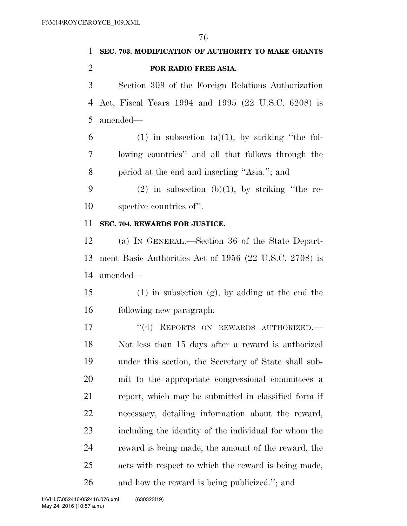## **SEC. 703. MODIFICATION OF AUTHORITY TO MAKE GRANTS FOR RADIO FREE ASIA.**

 Section 309 of the Foreign Relations Authorization Act, Fiscal Years 1994 and 1995 (22 U.S.C. 6208) is amended—

6 (1) in subsection (a)(1), by striking "the fol- lowing countries'' and all that follows through the period at the end and inserting ''Asia.''; and

9 (2) in subsection (b)(1), by striking "the re-spective countries of''.

#### **SEC. 704. REWARDS FOR JUSTICE.**

 (a) IN GENERAL.—Section 36 of the State Depart- ment Basic Authorities Act of 1956 (22 U.S.C. 2708) is amended—

15 (1) in subsection  $(g)$ , by adding at the end the following new paragraph:

17 "(4) REPORTS ON REWARDS AUTHORIZED. Not less than 15 days after a reward is authorized under this section, the Secretary of State shall sub- mit to the appropriate congressional committees a report, which may be submitted in classified form if necessary, detailing information about the reward, including the identity of the individual for whom the reward is being made, the amount of the reward, the acts with respect to which the reward is being made, and how the reward is being publicized.''; and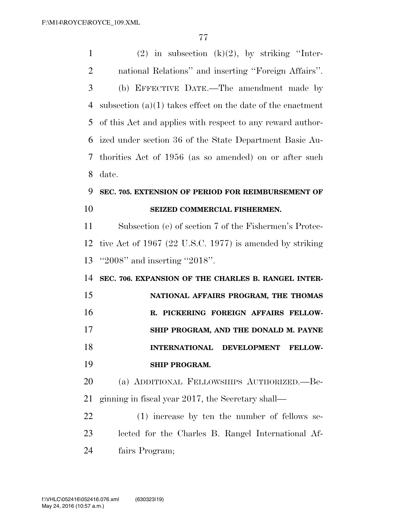1 (2) in subsection  $(k)(2)$ , by striking "Inter- national Relations'' and inserting ''Foreign Affairs''. (b) EFFECTIVE DATE.—The amendment made by subsection (a)(1) takes effect on the date of the enactment of this Act and applies with respect to any reward author- ized under section 36 of the State Department Basic Au- thorities Act of 1956 (as so amended) on or after such date.

### **SEC. 705. EXTENSION OF PERIOD FOR REIMBURSEMENT OF SEIZED COMMERCIAL FISHERMEN.**

 Subsection (e) of section 7 of the Fishermen's Protec- tive Act of 1967 (22 U.S.C. 1977) is amended by striking ''2008'' and inserting ''2018''.

 **SEC. 706. EXPANSION OF THE CHARLES B. RANGEL INTER- NATIONAL AFFAIRS PROGRAM, THE THOMAS R. PICKERING FOREIGN AFFAIRS FELLOW- SHIP PROGRAM, AND THE DONALD M. PAYNE INTERNATIONAL DEVELOPMENT FELLOW-SHIP PROGRAM.** 

 (a) ADDITIONAL FELLOWSHIPS AUTHORIZED.—Be-ginning in fiscal year 2017, the Secretary shall—

 (1) increase by ten the number of fellows se- lected for the Charles B. Rangel International Af-fairs Program;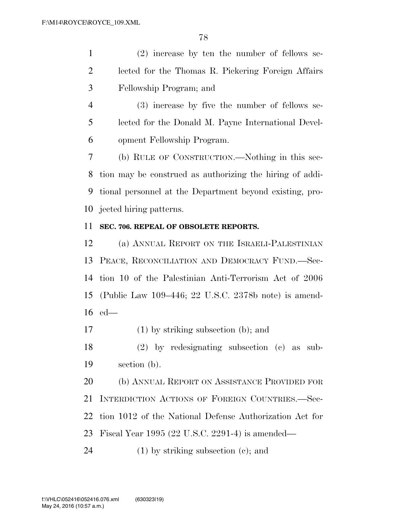(2) increase by ten the number of fellows se- lected for the Thomas R. Pickering Foreign Affairs Fellowship Program; and

 (3) increase by five the number of fellows se- lected for the Donald M. Payne International Devel-opment Fellowship Program.

 (b) RULE OF CONSTRUCTION.—Nothing in this sec- tion may be construed as authorizing the hiring of addi- tional personnel at the Department beyond existing, pro-jected hiring patterns.

#### **SEC. 706. REPEAL OF OBSOLETE REPORTS.**

 (a) ANNUAL REPORT ON THE ISRAELI-PALESTINIAN PEACE, RECONCILIATION AND DEMOCRACY FUND.—Sec- tion 10 of the Palestinian Anti-Terrorism Act of 2006 (Public Law 109–446; 22 U.S.C. 2378b note) is amend-ed—

(1) by striking subsection (b); and

 (2) by redesignating subsection (c) as sub-section (b).

20 (b) ANNUAL REPORT ON ASSISTANCE PROVIDED FOR INTERDICTION ACTIONS OF FOREIGN COUNTRIES.—Sec- tion 1012 of the National Defense Authorization Act for Fiscal Year 1995 (22 U.S.C. 2291-4) is amended—

(1) by striking subsection (c); and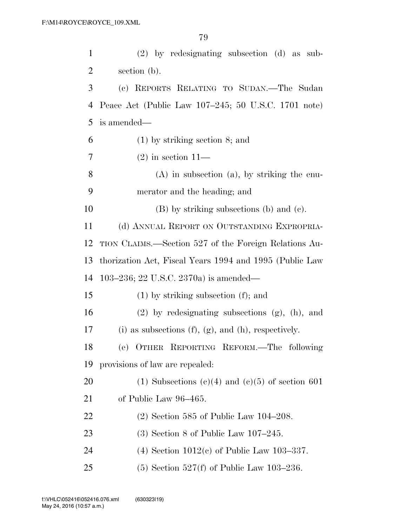| $\mathbf{1}$ | $(2)$ by redesignating subsection $(d)$ as sub-              |
|--------------|--------------------------------------------------------------|
| 2            | section (b).                                                 |
| 3            | (c) REPORTS RELATING TO SUDAN.—The Sudan                     |
| 4            | Peace Act (Public Law 107–245; 50 U.S.C. 1701 note)          |
| 5            | is amended—                                                  |
| 6            | $(1)$ by striking section 8; and                             |
| 7            | $(2)$ in section 11—                                         |
| 8            | $(A)$ in subsection $(a)$ , by striking the enu-             |
| 9            | merator and the heading; and                                 |
| 10           | $(B)$ by striking subsections (b) and (c).                   |
| 11           | (d) ANNUAL REPORT ON OUTSTANDING EXPROPRIA-                  |
| 12           | TION CLAIMS.—Section 527 of the Foreign Relations Au-        |
| 13           | thorization Act, Fiscal Years 1994 and 1995 (Public Law      |
| 14           | 103–236; 22 U.S.C. 2370a) is amended—                        |
| 15           | $(1)$ by striking subsection $(f)$ ; and                     |
| 16           | $(2)$ by redesignating subsections $(g)$ , $(h)$ , and       |
| 17           | (i) as subsections $(f)$ , $(g)$ , and $(h)$ , respectively. |
| 18           | (e) OTHER REPORTING REFORM. The following                    |
| 19           | provisions of law are repealed:                              |
| 20           | (1) Subsections (c)(4) and (c)(5) of section 601             |
| 21           | of Public Law 96–465.                                        |
| 22           | $(2)$ Section 585 of Public Law 104–208.                     |
| 23           | $(3)$ Section 8 of Public Law 107–245.                       |
| 24           | (4) Section $1012(c)$ of Public Law 103-337.                 |
| 25           | $(5)$ Section 527(f) of Public Law 103–236.                  |